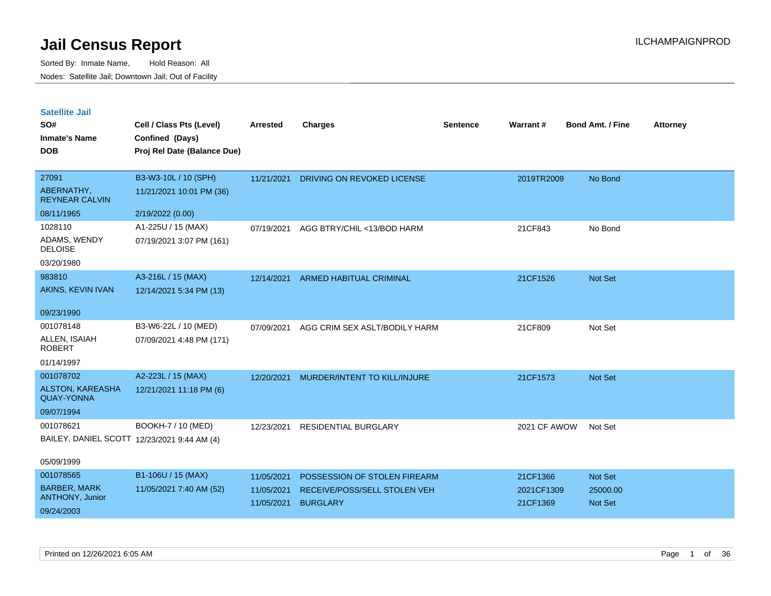| <b>Satellite Jail</b> |  |
|-----------------------|--|
|-----------------------|--|

| SO#<br><b>Inmate's Name</b><br><b>DOB</b>                                | Cell / Class Pts (Level)<br>Confined (Days)<br>Proj Rel Date (Balance Due) | Arrested                               | <b>Charges</b>                                                                         | Sentence | Warrant#                           | <b>Bond Amt. / Fine</b>        | <b>Attorney</b> |
|--------------------------------------------------------------------------|----------------------------------------------------------------------------|----------------------------------------|----------------------------------------------------------------------------------------|----------|------------------------------------|--------------------------------|-----------------|
| 27091<br>ABERNATHY,<br><b>REYNEAR CALVIN</b>                             | B3-W3-10L / 10 (SPH)<br>11/21/2021 10:01 PM (36)                           | 11/21/2021                             | DRIVING ON REVOKED LICENSE                                                             |          | 2019TR2009                         | No Bond                        |                 |
| 08/11/1965                                                               | 2/19/2022 (0.00)                                                           |                                        |                                                                                        |          |                                    |                                |                 |
| 1028110<br>ADAMS, WENDY<br><b>DELOISE</b><br>03/20/1980                  | A1-225U / 15 (MAX)<br>07/19/2021 3:07 PM (161)                             | 07/19/2021                             | AGG BTRY/CHIL <13/BOD HARM                                                             |          | 21CF843                            | No Bond                        |                 |
| 983810<br>AKINS, KEVIN IVAN                                              | A3-216L / 15 (MAX)<br>12/14/2021 5:34 PM (13)                              | 12/14/2021                             | <b>ARMED HABITUAL CRIMINAL</b>                                                         |          | 21CF1526                           | Not Set                        |                 |
| 09/23/1990                                                               |                                                                            |                                        |                                                                                        |          |                                    |                                |                 |
| 001078148<br>ALLEN, ISAIAH<br><b>ROBERT</b>                              | B3-W6-22L / 10 (MED)<br>07/09/2021 4:48 PM (171)                           | 07/09/2021                             | AGG CRIM SEX ASLT/BODILY HARM                                                          |          | 21CF809                            | Not Set                        |                 |
| 01/14/1997                                                               |                                                                            |                                        |                                                                                        |          |                                    |                                |                 |
| 001078702<br>ALSTON, KAREASHA<br><b>QUAY-YONNA</b><br>09/07/1994         | A2-223L / 15 (MAX)<br>12/21/2021 11:18 PM (6)                              | 12/20/2021                             | MURDER/INTENT TO KILL/INJURE                                                           |          | 21CF1573                           | Not Set                        |                 |
| 001078621<br>BAILEY, DANIEL SCOTT 12/23/2021 9:44 AM (4)                 | BOOKH-7 / 10 (MED)                                                         | 12/23/2021                             | <b>RESIDENTIAL BURGLARY</b>                                                            |          | 2021 CF AWOW                       | Not Set                        |                 |
| 05/09/1999                                                               |                                                                            |                                        |                                                                                        |          |                                    |                                |                 |
| 001078565<br><b>BARBER, MARK</b><br><b>ANTHONY, Junior</b><br>09/24/2003 | B1-106U / 15 (MAX)<br>11/05/2021 7:40 AM (52)                              | 11/05/2021<br>11/05/2021<br>11/05/2021 | POSSESSION OF STOLEN FIREARM<br><b>RECEIVE/POSS/SELL STOLEN VEH</b><br><b>BURGLARY</b> |          | 21CF1366<br>2021CF1309<br>21CF1369 | Not Set<br>25000.00<br>Not Set |                 |
|                                                                          |                                                                            |                                        |                                                                                        |          |                                    |                                |                 |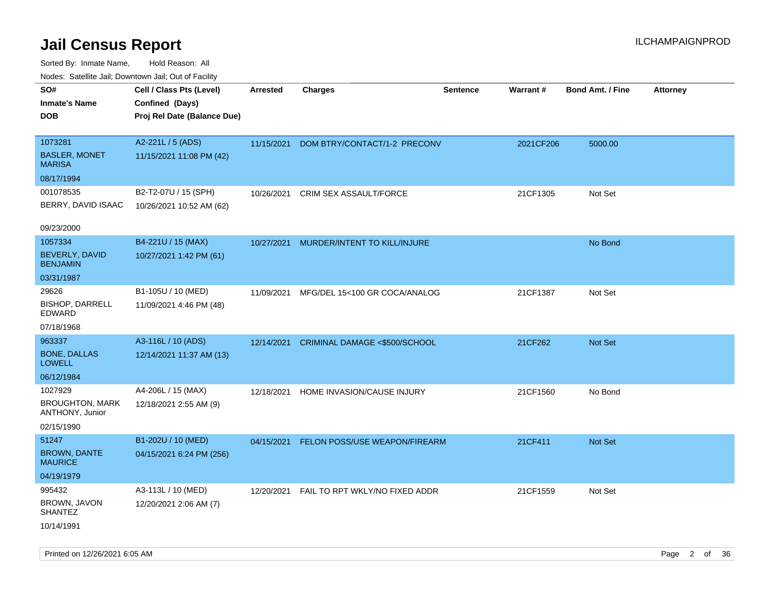Sorted By: Inmate Name, Hold Reason: All Nodes: Satellite Jail; Downtown Jail; Out of Facility

| Nudes. Satellite Jali, Downtown Jali, Out of Facility |                             |                 |                                |                 |           |                         |                 |
|-------------------------------------------------------|-----------------------------|-----------------|--------------------------------|-----------------|-----------|-------------------------|-----------------|
| SO#                                                   | Cell / Class Pts (Level)    | <b>Arrested</b> | <b>Charges</b>                 | <b>Sentence</b> | Warrant#  | <b>Bond Amt. / Fine</b> | <b>Attorney</b> |
| Inmate's Name                                         | Confined (Days)             |                 |                                |                 |           |                         |                 |
| <b>DOB</b>                                            | Proj Rel Date (Balance Due) |                 |                                |                 |           |                         |                 |
|                                                       |                             |                 |                                |                 |           |                         |                 |
| 1073281                                               | A2-221L / 5 (ADS)           | 11/15/2021      | DOM BTRY/CONTACT/1-2 PRECONV   |                 | 2021CF206 | 5000.00                 |                 |
| <b>BASLER, MONET</b><br>MARISA                        | 11/15/2021 11:08 PM (42)    |                 |                                |                 |           |                         |                 |
| 08/17/1994                                            |                             |                 |                                |                 |           |                         |                 |
| 001078535                                             | B2-T2-07U / 15 (SPH)        | 10/26/2021      | <b>CRIM SEX ASSAULT/FORCE</b>  |                 | 21CF1305  | Not Set                 |                 |
| BERRY, DAVID ISAAC                                    | 10/26/2021 10:52 AM (62)    |                 |                                |                 |           |                         |                 |
| 09/23/2000                                            |                             |                 |                                |                 |           |                         |                 |
| 1057334                                               | B4-221U / 15 (MAX)          | 10/27/2021      | MURDER/INTENT TO KILL/INJURE   |                 |           | No Bond                 |                 |
| <b>BEVERLY, DAVID</b><br><b>BENJAMIN</b>              | 10/27/2021 1:42 PM (61)     |                 |                                |                 |           |                         |                 |
| 03/31/1987                                            |                             |                 |                                |                 |           |                         |                 |
| 29626                                                 | B1-105U / 10 (MED)          | 11/09/2021      | MFG/DEL 15<100 GR COCA/ANALOG  |                 | 21CF1387  | Not Set                 |                 |
| <b>BISHOP, DARRELL</b><br>EDWARD                      | 11/09/2021 4:46 PM (48)     |                 |                                |                 |           |                         |                 |
| 07/18/1968                                            |                             |                 |                                |                 |           |                         |                 |
| 963337                                                | A3-116L / 10 (ADS)          | 12/14/2021      | CRIMINAL DAMAGE <\$500/SCHOOL  |                 | 21CF262   | Not Set                 |                 |
| <b>BONE, DALLAS</b><br>LOWELL                         | 12/14/2021 11:37 AM (13)    |                 |                                |                 |           |                         |                 |
| 06/12/1984                                            |                             |                 |                                |                 |           |                         |                 |
| 1027929                                               | A4-206L / 15 (MAX)          | 12/18/2021      | HOME INVASION/CAUSE INJURY     |                 | 21CF1560  | No Bond                 |                 |
| <b>BROUGHTON, MARK</b><br>ANTHONY, Junior             | 12/18/2021 2:55 AM (9)      |                 |                                |                 |           |                         |                 |
| 02/15/1990                                            |                             |                 |                                |                 |           |                         |                 |
| 51247                                                 | B1-202U / 10 (MED)          | 04/15/2021      | FELON POSS/USE WEAPON/FIREARM  |                 | 21CF411   | Not Set                 |                 |
| <b>BROWN, DANTE</b><br>MAURICE                        | 04/15/2021 6:24 PM (256)    |                 |                                |                 |           |                         |                 |
| 04/19/1979                                            |                             |                 |                                |                 |           |                         |                 |
| 995432                                                | A3-113L / 10 (MED)          | 12/20/2021      | FAIL TO RPT WKLY/NO FIXED ADDR |                 | 21CF1559  | Not Set                 |                 |
| BROWN, JAVON<br>SHANTEZ                               | 12/20/2021 2:06 AM (7)      |                 |                                |                 |           |                         |                 |
| 10/14/1991                                            |                             |                 |                                |                 |           |                         |                 |

Printed on 12/26/2021 6:05 AM Page 2 of 36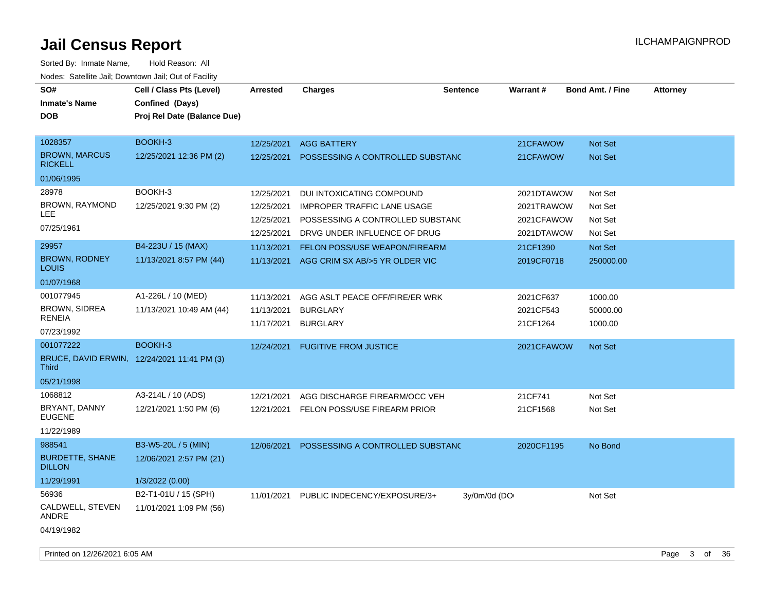| roaco. Catolino cali, Domntonn cali, Out of Facility        |                                                                            |                          |                                    |                 |                       |                         |                 |
|-------------------------------------------------------------|----------------------------------------------------------------------------|--------------------------|------------------------------------|-----------------|-----------------------|-------------------------|-----------------|
| SO#<br><b>Inmate's Name</b><br><b>DOB</b>                   | Cell / Class Pts (Level)<br>Confined (Days)<br>Proj Rel Date (Balance Due) | Arrested                 | <b>Charges</b>                     | <b>Sentence</b> | <b>Warrant#</b>       | <b>Bond Amt. / Fine</b> | <b>Attorney</b> |
| 1028357                                                     | BOOKH-3                                                                    | 12/25/2021               | <b>AGG BATTERY</b>                 |                 | 21CFAWOW              | Not Set                 |                 |
| <b>BROWN, MARCUS</b><br><b>RICKELL</b>                      | 12/25/2021 12:36 PM (2)                                                    | 12/25/2021               | POSSESSING A CONTROLLED SUBSTANC   |                 | 21CFAWOW              | Not Set                 |                 |
| 01/06/1995                                                  |                                                                            |                          |                                    |                 |                       |                         |                 |
| 28978                                                       | BOOKH-3                                                                    | 12/25/2021               | DUI INTOXICATING COMPOUND          |                 | 2021DTAWOW            | Not Set                 |                 |
| BROWN, RAYMOND                                              | 12/25/2021 9:30 PM (2)                                                     | 12/25/2021               | <b>IMPROPER TRAFFIC LANE USAGE</b> |                 | 2021TRAWOW            | Not Set                 |                 |
| LEE                                                         |                                                                            | 12/25/2021               | POSSESSING A CONTROLLED SUBSTANC   |                 | 2021CFAWOW            | Not Set                 |                 |
| 07/25/1961                                                  |                                                                            | 12/25/2021               | DRVG UNDER INFLUENCE OF DRUG       |                 | 2021DTAWOW            | Not Set                 |                 |
| 29957                                                       | B4-223U / 15 (MAX)                                                         | 11/13/2021               | FELON POSS/USE WEAPON/FIREARM      |                 | 21CF1390              | Not Set                 |                 |
| <b>BROWN, RODNEY</b><br>LOUIS                               | 11/13/2021 8:57 PM (44)                                                    | 11/13/2021               | AGG CRIM SX AB/>5 YR OLDER VIC     |                 | 2019CF0718            | 250000.00               |                 |
| 01/07/1968                                                  |                                                                            |                          |                                    |                 |                       |                         |                 |
| 001077945                                                   | A1-226L / 10 (MED)                                                         | 11/13/2021               | AGG ASLT PEACE OFF/FIRE/ER WRK     |                 | 2021CF637             | 1000.00                 |                 |
| <b>BROWN, SIDREA</b><br><b>RENEIA</b>                       | 11/13/2021 10:49 AM (44)                                                   | 11/13/2021<br>11/17/2021 | <b>BURGLARY</b><br><b>BURGLARY</b> |                 | 2021CF543<br>21CF1264 | 50000.00<br>1000.00     |                 |
| 07/23/1992                                                  |                                                                            |                          |                                    |                 |                       |                         |                 |
| 001077222                                                   | BOOKH-3                                                                    | 12/24/2021               | <b>FUGITIVE FROM JUSTICE</b>       |                 | 2021CFAWOW            | Not Set                 |                 |
| BRUCE, DAVID ERWIN, 12/24/2021 11:41 PM (3)<br><b>Third</b> |                                                                            |                          |                                    |                 |                       |                         |                 |
| 05/21/1998                                                  |                                                                            |                          |                                    |                 |                       |                         |                 |
| 1068812                                                     | A3-214L / 10 (ADS)                                                         | 12/21/2021               | AGG DISCHARGE FIREARM/OCC VEH      |                 | 21CF741               | Not Set                 |                 |
| BRYANT, DANNY<br><b>EUGENE</b>                              | 12/21/2021 1:50 PM (6)                                                     | 12/21/2021               | FELON POSS/USE FIREARM PRIOR       |                 | 21CF1568              | Not Set                 |                 |
| 11/22/1989                                                  |                                                                            |                          |                                    |                 |                       |                         |                 |
| 988541                                                      | B3-W5-20L / 5 (MIN)                                                        | 12/06/2021               | POSSESSING A CONTROLLED SUBSTANC   |                 | 2020CF1195            | No Bond                 |                 |
| <b>BURDETTE, SHANE</b><br><b>DILLON</b>                     | 12/06/2021 2:57 PM (21)                                                    |                          |                                    |                 |                       |                         |                 |
| 11/29/1991                                                  | 1/3/2022 (0.00)                                                            |                          |                                    |                 |                       |                         |                 |
| 56936                                                       | B2-T1-01U / 15 (SPH)                                                       | 11/01/2021               | PUBLIC INDECENCY/EXPOSURE/3+       | 3y/0m/0d (DO    |                       | Not Set                 |                 |
| CALDWELL, STEVEN<br>ANDRE                                   | 11/01/2021 1:09 PM (56)                                                    |                          |                                    |                 |                       |                         |                 |
| 04/19/1982                                                  |                                                                            |                          |                                    |                 |                       |                         |                 |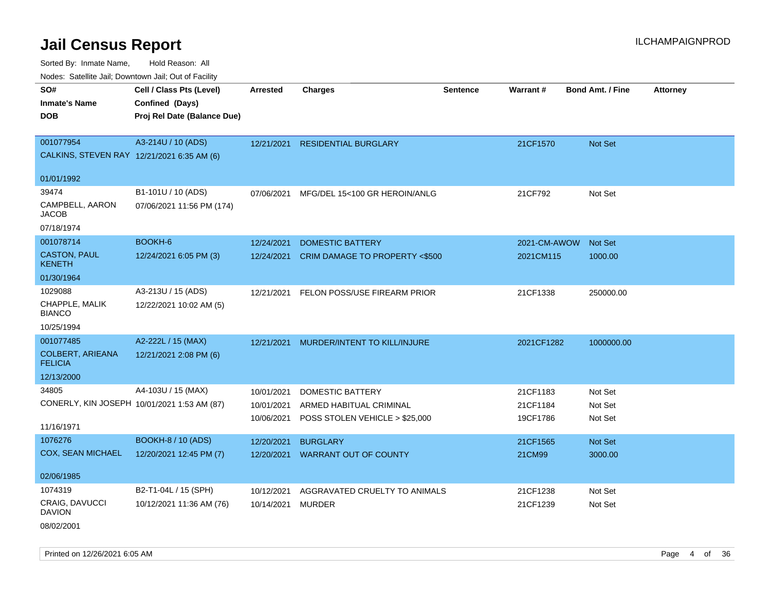Sorted By: Inmate Name, Hold Reason: All Nodes: Satellite Jail; Downtown Jail; Out of Facility

| Noues. Salenne Jan, Downlown Jan, Out or Facility |                             |                 |                                |                 |                 |                         |                 |
|---------------------------------------------------|-----------------------------|-----------------|--------------------------------|-----------------|-----------------|-------------------------|-----------------|
| SO#                                               | Cell / Class Pts (Level)    | <b>Arrested</b> | <b>Charges</b>                 | <b>Sentence</b> | <b>Warrant#</b> | <b>Bond Amt. / Fine</b> | <b>Attorney</b> |
| <b>Inmate's Name</b>                              | Confined (Days)             |                 |                                |                 |                 |                         |                 |
| <b>DOB</b>                                        | Proj Rel Date (Balance Due) |                 |                                |                 |                 |                         |                 |
|                                                   |                             |                 |                                |                 |                 |                         |                 |
| 001077954                                         | A3-214U / 10 (ADS)          | 12/21/2021      | <b>RESIDENTIAL BURGLARY</b>    |                 | 21CF1570        | Not Set                 |                 |
| CALKINS, STEVEN RAY 12/21/2021 6:35 AM (6)        |                             |                 |                                |                 |                 |                         |                 |
| 01/01/1992                                        |                             |                 |                                |                 |                 |                         |                 |
| 39474                                             | B1-101U / 10 (ADS)          | 07/06/2021      | MFG/DEL 15<100 GR HEROIN/ANLG  |                 | 21CF792         | Not Set                 |                 |
| CAMPBELL, AARON<br>JACOB                          | 07/06/2021 11:56 PM (174)   |                 |                                |                 |                 |                         |                 |
| 07/18/1974                                        |                             |                 |                                |                 |                 |                         |                 |
| 001078714                                         | BOOKH-6                     | 12/24/2021      | <b>DOMESTIC BATTERY</b>        |                 | 2021-CM-AWOW    | <b>Not Set</b>          |                 |
| <b>CASTON, PAUL</b><br><b>KENETH</b>              | 12/24/2021 6:05 PM (3)      | 12/24/2021      | CRIM DAMAGE TO PROPERTY <\$500 |                 | 2021CM115       | 1000.00                 |                 |
| 01/30/1964                                        |                             |                 |                                |                 |                 |                         |                 |
| 1029088                                           | A3-213U / 15 (ADS)          | 12/21/2021      | FELON POSS/USE FIREARM PRIOR   |                 | 21CF1338        | 250000.00               |                 |
| CHAPPLE, MALIK<br><b>BIANCO</b>                   | 12/22/2021 10:02 AM (5)     |                 |                                |                 |                 |                         |                 |
| 10/25/1994                                        |                             |                 |                                |                 |                 |                         |                 |
| 001077485                                         | A2-222L / 15 (MAX)          | 12/21/2021      | MURDER/INTENT TO KILL/INJURE   |                 | 2021CF1282      | 1000000.00              |                 |
| <b>COLBERT, ARIEANA</b><br><b>FELICIA</b>         | 12/21/2021 2:08 PM (6)      |                 |                                |                 |                 |                         |                 |
| 12/13/2000                                        |                             |                 |                                |                 |                 |                         |                 |
| 34805                                             | A4-103U / 15 (MAX)          | 10/01/2021      | DOMESTIC BATTERY               |                 | 21CF1183        | Not Set                 |                 |
| CONERLY, KIN JOSEPH 10/01/2021 1:53 AM (87)       |                             | 10/01/2021      | ARMED HABITUAL CRIMINAL        |                 | 21CF1184        | Not Set                 |                 |
|                                                   |                             | 10/06/2021      | POSS STOLEN VEHICLE > \$25,000 |                 | 19CF1786        | Not Set                 |                 |
| 11/16/1971                                        |                             |                 |                                |                 |                 |                         |                 |
| 1076276                                           | BOOKH-8 / 10 (ADS)          | 12/20/2021      | <b>BURGLARY</b>                |                 | 21CF1565        | <b>Not Set</b>          |                 |
| <b>COX, SEAN MICHAEL</b>                          | 12/20/2021 12:45 PM (7)     | 12/20/2021      | <b>WARRANT OUT OF COUNTY</b>   |                 | 21CM99          | 3000.00                 |                 |
| 02/06/1985                                        |                             |                 |                                |                 |                 |                         |                 |
| 1074319                                           | B2-T1-04L / 15 (SPH)        | 10/12/2021      | AGGRAVATED CRUELTY TO ANIMALS  |                 | 21CF1238        | Not Set                 |                 |
| CRAIG, DAVUCCI<br><b>DAVION</b>                   | 10/12/2021 11:36 AM (76)    | 10/14/2021      | <b>MURDER</b>                  |                 | 21CF1239        | Not Set                 |                 |

08/02/2001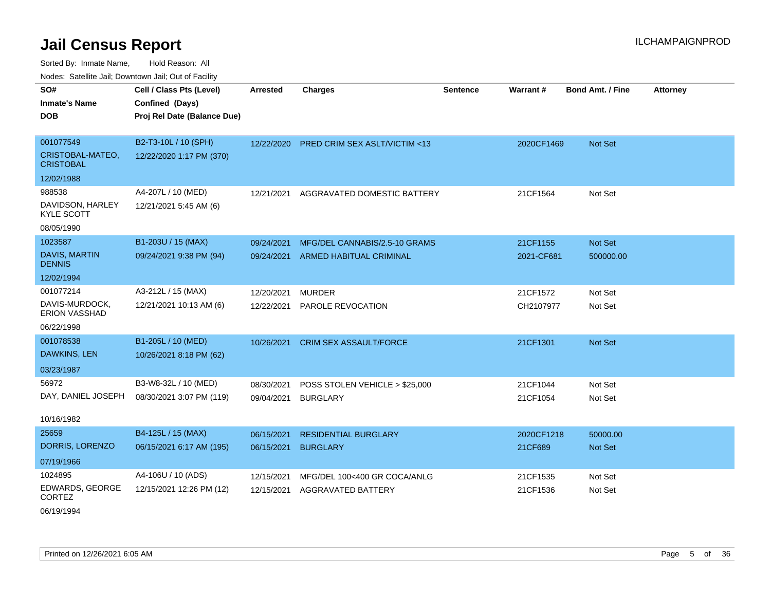Sorted By: Inmate Name, Hold Reason: All Nodes: Satellite Jail; Downtown Jail; Out of Facility

| Todos. Catolino can, Downtown can, Out of Fability |                             |            |                                         |                 |            |                         |                 |
|----------------------------------------------------|-----------------------------|------------|-----------------------------------------|-----------------|------------|-------------------------|-----------------|
| SO#                                                | Cell / Class Pts (Level)    | Arrested   | <b>Charges</b>                          | <b>Sentence</b> | Warrant#   | <b>Bond Amt. / Fine</b> | <b>Attorney</b> |
| <b>Inmate's Name</b>                               | Confined (Days)             |            |                                         |                 |            |                         |                 |
| <b>DOB</b>                                         | Proj Rel Date (Balance Due) |            |                                         |                 |            |                         |                 |
|                                                    |                             |            |                                         |                 |            |                         |                 |
| 001077549                                          | B2-T3-10L / 10 (SPH)        | 12/22/2020 | <b>PRED CRIM SEX ASLT/VICTIM &lt;13</b> |                 | 2020CF1469 | <b>Not Set</b>          |                 |
| CRISTOBAL-MATEO,<br><b>CRISTOBAL</b>               | 12/22/2020 1:17 PM (370)    |            |                                         |                 |            |                         |                 |
| 12/02/1988                                         |                             |            |                                         |                 |            |                         |                 |
| 988538                                             | A4-207L / 10 (MED)          | 12/21/2021 | AGGRAVATED DOMESTIC BATTERY             |                 | 21CF1564   | Not Set                 |                 |
| DAVIDSON, HARLEY<br><b>KYLE SCOTT</b>              | 12/21/2021 5:45 AM (6)      |            |                                         |                 |            |                         |                 |
| 08/05/1990                                         |                             |            |                                         |                 |            |                         |                 |
| 1023587                                            | B1-203U / 15 (MAX)          | 09/24/2021 | MFG/DEL CANNABIS/2.5-10 GRAMS           |                 | 21CF1155   | Not Set                 |                 |
| <b>DAVIS, MARTIN</b><br><b>DENNIS</b>              | 09/24/2021 9:38 PM (94)     | 09/24/2021 | ARMED HABITUAL CRIMINAL                 |                 | 2021-CF681 | 500000.00               |                 |
| 12/02/1994                                         |                             |            |                                         |                 |            |                         |                 |
| 001077214                                          | A3-212L / 15 (MAX)          | 12/20/2021 | <b>MURDER</b>                           |                 | 21CF1572   | Not Set                 |                 |
| DAVIS-MURDOCK,<br><b>ERION VASSHAD</b>             | 12/21/2021 10:13 AM (6)     | 12/22/2021 | PAROLE REVOCATION                       |                 | CH2107977  | Not Set                 |                 |
| 06/22/1998                                         |                             |            |                                         |                 |            |                         |                 |
| 001078538                                          | B1-205L / 10 (MED)          | 10/26/2021 | <b>CRIM SEX ASSAULT/FORCE</b>           |                 | 21CF1301   | <b>Not Set</b>          |                 |
| DAWKINS, LEN                                       | 10/26/2021 8:18 PM (62)     |            |                                         |                 |            |                         |                 |
| 03/23/1987                                         |                             |            |                                         |                 |            |                         |                 |
| 56972                                              | B3-W8-32L / 10 (MED)        | 08/30/2021 | POSS STOLEN VEHICLE > \$25,000          |                 | 21CF1044   | Not Set                 |                 |
| DAY, DANIEL JOSEPH                                 | 08/30/2021 3:07 PM (119)    | 09/04/2021 | <b>BURGLARY</b>                         |                 | 21CF1054   | Not Set                 |                 |
|                                                    |                             |            |                                         |                 |            |                         |                 |
| 10/16/1982                                         |                             |            |                                         |                 |            |                         |                 |
| 25659                                              | B4-125L / 15 (MAX)          | 06/15/2021 | <b>RESIDENTIAL BURGLARY</b>             |                 | 2020CF1218 | 50000.00                |                 |
| DORRIS, LORENZO                                    | 06/15/2021 6:17 AM (195)    | 06/15/2021 | <b>BURGLARY</b>                         |                 | 21CF689    | <b>Not Set</b>          |                 |
| 07/19/1966                                         |                             |            |                                         |                 |            |                         |                 |
| 1024895                                            | A4-106U / 10 (ADS)          | 12/15/2021 | MFG/DEL 100<400 GR COCA/ANLG            |                 | 21CF1535   | Not Set                 |                 |
| EDWARDS, GEORGE<br><b>CORTEZ</b>                   | 12/15/2021 12:26 PM (12)    | 12/15/2021 | <b>AGGRAVATED BATTERY</b>               |                 | 21CF1536   | Not Set                 |                 |

06/19/1994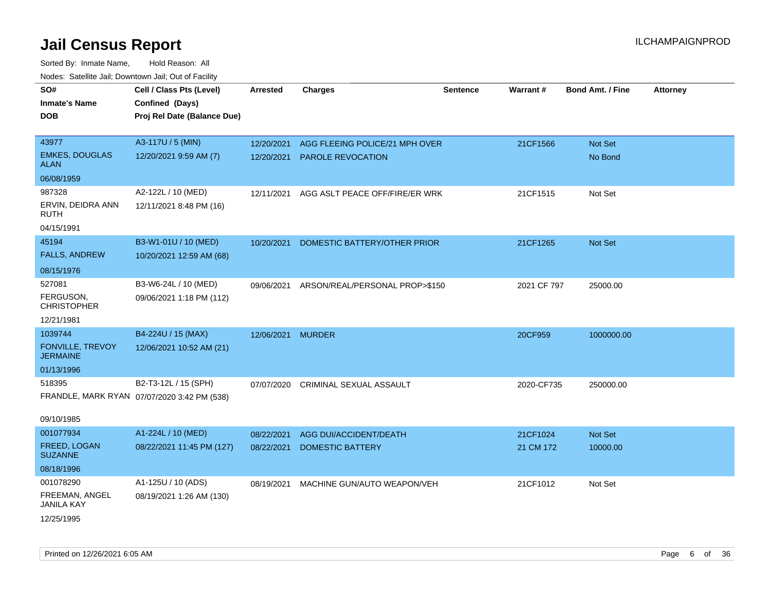| rouco. Calcillo Jali, Downtown Jali, Out of Facility |                                             |                 |                                |                 |             |                         |                 |
|------------------------------------------------------|---------------------------------------------|-----------------|--------------------------------|-----------------|-------------|-------------------------|-----------------|
| SO#                                                  | Cell / Class Pts (Level)                    | <b>Arrested</b> | <b>Charges</b>                 | <b>Sentence</b> | Warrant#    | <b>Bond Amt. / Fine</b> | <b>Attorney</b> |
| <b>Inmate's Name</b>                                 | Confined (Days)                             |                 |                                |                 |             |                         |                 |
| <b>DOB</b>                                           | Proj Rel Date (Balance Due)                 |                 |                                |                 |             |                         |                 |
|                                                      |                                             |                 |                                |                 |             |                         |                 |
| 43977                                                | A3-117U / 5 (MIN)                           | 12/20/2021      | AGG FLEEING POLICE/21 MPH OVER |                 | 21CF1566    | Not Set                 |                 |
| <b>EMKES, DOUGLAS</b><br><b>ALAN</b>                 | 12/20/2021 9:59 AM (7)                      | 12/20/2021      | PAROLE REVOCATION              |                 |             | No Bond                 |                 |
| 06/08/1959                                           |                                             |                 |                                |                 |             |                         |                 |
| 987328                                               | A2-122L / 10 (MED)                          | 12/11/2021      | AGG ASLT PEACE OFF/FIRE/ER WRK |                 | 21CF1515    | Not Set                 |                 |
| ERVIN, DEIDRA ANN<br><b>RUTH</b>                     | 12/11/2021 8:48 PM (16)                     |                 |                                |                 |             |                         |                 |
| 04/15/1991                                           |                                             |                 |                                |                 |             |                         |                 |
| 45194                                                | B3-W1-01U / 10 (MED)                        | 10/20/2021      | DOMESTIC BATTERY/OTHER PRIOR   |                 | 21CF1265    | Not Set                 |                 |
| <b>FALLS, ANDREW</b>                                 | 10/20/2021 12:59 AM (68)                    |                 |                                |                 |             |                         |                 |
| 08/15/1976                                           |                                             |                 |                                |                 |             |                         |                 |
| 527081                                               | B3-W6-24L / 10 (MED)                        | 09/06/2021      | ARSON/REAL/PERSONAL PROP>\$150 |                 | 2021 CF 797 | 25000.00                |                 |
| FERGUSON,<br><b>CHRISTOPHER</b>                      | 09/06/2021 1:18 PM (112)                    |                 |                                |                 |             |                         |                 |
| 12/21/1981                                           |                                             |                 |                                |                 |             |                         |                 |
| 1039744                                              | B4-224U / 15 (MAX)                          | 12/06/2021      | <b>MURDER</b>                  |                 | 20CF959     | 1000000.00              |                 |
| FONVILLE, TREVOY<br><b>JERMAINE</b>                  | 12/06/2021 10:52 AM (21)                    |                 |                                |                 |             |                         |                 |
| 01/13/1996                                           |                                             |                 |                                |                 |             |                         |                 |
| 518395                                               | B2-T3-12L / 15 (SPH)                        | 07/07/2020      | CRIMINAL SEXUAL ASSAULT        |                 | 2020-CF735  | 250000.00               |                 |
|                                                      | FRANDLE, MARK RYAN 07/07/2020 3:42 PM (538) |                 |                                |                 |             |                         |                 |
| 09/10/1985                                           |                                             |                 |                                |                 |             |                         |                 |
| 001077934                                            | A1-224L / 10 (MED)                          | 08/22/2021      | AGG DUI/ACCIDENT/DEATH         |                 | 21CF1024    | Not Set                 |                 |
| FREED, LOGAN<br><b>SUZANNE</b>                       | 08/22/2021 11:45 PM (127)                   | 08/22/2021      | <b>DOMESTIC BATTERY</b>        |                 | 21 CM 172   | 10000.00                |                 |
| 08/18/1996                                           |                                             |                 |                                |                 |             |                         |                 |
| 001078290                                            | A1-125U / 10 (ADS)                          | 08/19/2021      | MACHINE GUN/AUTO WEAPON/VEH    |                 | 21CF1012    | Not Set                 |                 |
| FREEMAN, ANGEL<br><b>JANILA KAY</b>                  | 08/19/2021 1:26 AM (130)                    |                 |                                |                 |             |                         |                 |
| 12/25/1995                                           |                                             |                 |                                |                 |             |                         |                 |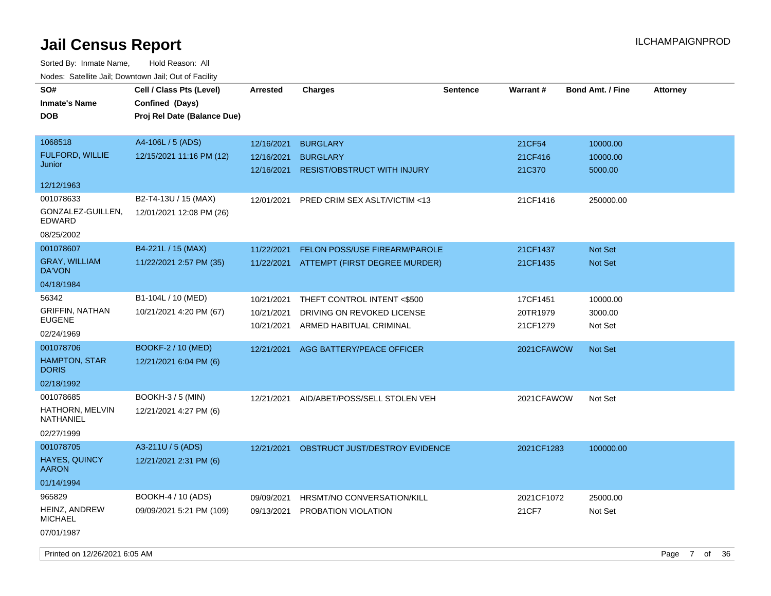Sorted By: Inmate Name, Hold Reason: All Nodes: Satellite Jail; Downtown Jail; Out of Facility

| SO#<br><b>Inmate's Name</b><br><b>DOB</b>                       | Cell / Class Pts (Level)<br>Confined (Days)<br>Proj Rel Date (Balance Due) | <b>Arrested</b>                        | <b>Charges</b>                                                                       | Sentence | Warrant#                         | <b>Bond Amt. / Fine</b>         | <b>Attorney</b> |
|-----------------------------------------------------------------|----------------------------------------------------------------------------|----------------------------------------|--------------------------------------------------------------------------------------|----------|----------------------------------|---------------------------------|-----------------|
| 1068518<br><b>FULFORD, WILLIE</b><br>Junior                     | A4-106L / 5 (ADS)<br>12/15/2021 11:16 PM (12)                              | 12/16/2021<br>12/16/2021<br>12/16/2021 | <b>BURGLARY</b><br><b>BURGLARY</b><br><b>RESIST/OBSTRUCT WITH INJURY</b>             |          | 21CF54<br>21CF416<br>21C370      | 10000.00<br>10000.00<br>5000.00 |                 |
| 12/12/1963                                                      |                                                                            |                                        |                                                                                      |          |                                  |                                 |                 |
| 001078633<br>GONZALEZ-GUILLEN,<br><b>EDWARD</b><br>08/25/2002   | B2-T4-13U / 15 (MAX)<br>12/01/2021 12:08 PM (26)                           | 12/01/2021                             | PRED CRIM SEX ASLT/VICTIM <13                                                        |          | 21CF1416                         | 250000.00                       |                 |
| 001078607<br><b>GRAY, WILLIAM</b><br>DA'VON                     | B4-221L / 15 (MAX)<br>11/22/2021 2:57 PM (35)                              | 11/22/2021<br>11/22/2021               | FELON POSS/USE FIREARM/PAROLE<br>ATTEMPT (FIRST DEGREE MURDER)                       |          | 21CF1437<br>21CF1435             | <b>Not Set</b><br>Not Set       |                 |
| 04/18/1984                                                      |                                                                            |                                        |                                                                                      |          |                                  |                                 |                 |
| 56342<br><b>GRIFFIN, NATHAN</b><br><b>EUGENE</b><br>02/24/1969  | B1-104L / 10 (MED)<br>10/21/2021 4:20 PM (67)                              | 10/21/2021<br>10/21/2021<br>10/21/2021 | THEFT CONTROL INTENT <\$500<br>DRIVING ON REVOKED LICENSE<br>ARMED HABITUAL CRIMINAL |          | 17CF1451<br>20TR1979<br>21CF1279 | 10000.00<br>3000.00<br>Not Set  |                 |
| 001078706<br><b>HAMPTON, STAR</b><br><b>DORIS</b><br>02/18/1992 | BOOKF-2 / 10 (MED)<br>12/21/2021 6:04 PM (6)                               | 12/21/2021                             | AGG BATTERY/PEACE OFFICER                                                            |          | 2021CFAWOW                       | <b>Not Set</b>                  |                 |
| 001078685<br>HATHORN, MELVIN<br>NATHANIEL<br>02/27/1999         | <b>BOOKH-3/5 (MIN)</b><br>12/21/2021 4:27 PM (6)                           | 12/21/2021                             | AID/ABET/POSS/SELL STOLEN VEH                                                        |          | 2021CFAWOW                       | Not Set                         |                 |
| 001078705<br><b>HAYES, QUINCY</b><br><b>AARON</b><br>01/14/1994 | A3-211U / 5 (ADS)<br>12/21/2021 2:31 PM (6)                                | 12/21/2021                             | OBSTRUCT JUST/DESTROY EVIDENCE                                                       |          | 2021CF1283                       | 100000.00                       |                 |
| 965829<br><b>HEINZ, ANDREW</b><br><b>MICHAEL</b><br>07/01/1987  | BOOKH-4 / 10 (ADS)<br>09/09/2021 5:21 PM (109)                             | 09/09/2021<br>09/13/2021               | HRSMT/NO CONVERSATION/KILL<br>PROBATION VIOLATION                                    |          | 2021CF1072<br>21CF7              | 25000.00<br>Not Set             |                 |

Printed on 12/26/2021 6:05 AM Page 7 of 36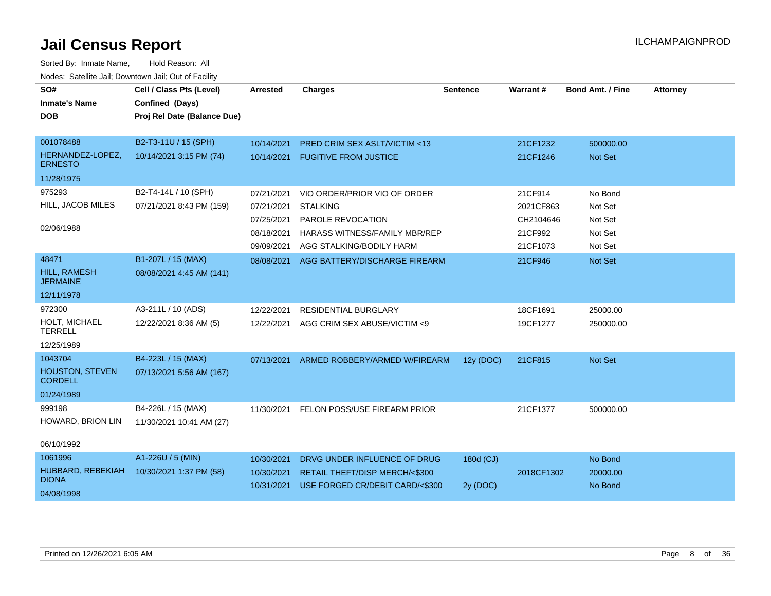| SO#<br><b>Inmate's Name</b><br><b>DOB</b>                         | Cell / Class Pts (Level)<br>Confined (Days)<br>Proj Rel Date (Balance Due) | <b>Arrested</b>                                                    | <b>Charges</b>                                                                                                                           | <b>Sentence</b>       | Warrant#                                                 | <b>Bond Amt. / Fine</b>                             | <b>Attorney</b> |
|-------------------------------------------------------------------|----------------------------------------------------------------------------|--------------------------------------------------------------------|------------------------------------------------------------------------------------------------------------------------------------------|-----------------------|----------------------------------------------------------|-----------------------------------------------------|-----------------|
| 001078488<br>HERNANDEZ-LOPEZ,<br><b>ERNESTO</b>                   | B2-T3-11U / 15 (SPH)<br>10/14/2021 3:15 PM (74)                            | 10/14/2021<br>10/14/2021                                           | PRED CRIM SEX ASLT/VICTIM <13<br><b>FUGITIVE FROM JUSTICE</b>                                                                            |                       | 21CF1232<br>21CF1246                                     | 500000.00<br>Not Set                                |                 |
| 11/28/1975<br>975293<br>HILL, JACOB MILES<br>02/06/1988           | B2-T4-14L / 10 (SPH)<br>07/21/2021 8:43 PM (159)                           | 07/21/2021<br>07/21/2021<br>07/25/2021<br>08/18/2021<br>09/09/2021 | VIO ORDER/PRIOR VIO OF ORDER<br><b>STALKING</b><br>PAROLE REVOCATION<br><b>HARASS WITNESS/FAMILY MBR/REP</b><br>AGG STALKING/BODILY HARM |                       | 21CF914<br>2021CF863<br>CH2104646<br>21CF992<br>21CF1073 | No Bond<br>Not Set<br>Not Set<br>Not Set<br>Not Set |                 |
| 48471<br><b>HILL, RAMESH</b><br><b>JERMAINE</b><br>12/11/1978     | B1-207L / 15 (MAX)<br>08/08/2021 4:45 AM (141)                             | 08/08/2021                                                         | AGG BATTERY/DISCHARGE FIREARM                                                                                                            |                       | 21CF946                                                  | Not Set                                             |                 |
| 972300<br>HOLT, MICHAEL<br><b>TERRELL</b><br>12/25/1989           | A3-211L / 10 (ADS)<br>12/22/2021 8:36 AM (5)                               | 12/22/2021<br>12/22/2021                                           | <b>RESIDENTIAL BURGLARY</b><br>AGG CRIM SEX ABUSE/VICTIM <9                                                                              |                       | 18CF1691<br>19CF1277                                     | 25000.00<br>250000.00                               |                 |
| 1043704<br><b>HOUSTON, STEVEN</b><br><b>CORDELL</b><br>01/24/1989 | B4-223L / 15 (MAX)<br>07/13/2021 5:56 AM (167)                             | 07/13/2021                                                         | ARMED ROBBERY/ARMED W/FIREARM                                                                                                            | 12y (DOC)             | 21CF815                                                  | <b>Not Set</b>                                      |                 |
| 999198<br>HOWARD, BRION LIN<br>06/10/1992                         | B4-226L / 15 (MAX)<br>11/30/2021 10:41 AM (27)                             | 11/30/2021                                                         | FELON POSS/USE FIREARM PRIOR                                                                                                             |                       | 21CF1377                                                 | 500000.00                                           |                 |
| 1061996<br>HUBBARD, REBEKIAH<br><b>DIONA</b><br>04/08/1998        | A1-226U / 5 (MIN)<br>10/30/2021 1:37 PM (58)                               | 10/30/2021<br>10/30/2021<br>10/31/2021                             | DRVG UNDER INFLUENCE OF DRUG<br>RETAIL THEFT/DISP MERCH/<\$300<br>USE FORGED CR/DEBIT CARD/<\$300                                        | 180d (CJ)<br>2y (DOC) | 2018CF1302                                               | No Bond<br>20000.00<br>No Bond                      |                 |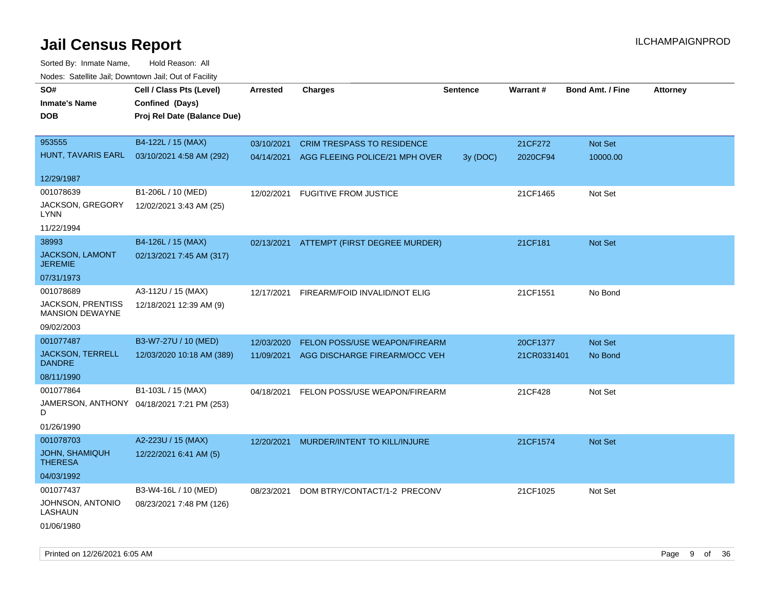| roaco. Catolino dall, Downtown dall, Out of Fability |                                            |                 |                                           |                 |             |                         |                 |
|------------------------------------------------------|--------------------------------------------|-----------------|-------------------------------------------|-----------------|-------------|-------------------------|-----------------|
| SO#                                                  | Cell / Class Pts (Level)                   | <b>Arrested</b> | <b>Charges</b>                            | <b>Sentence</b> | Warrant#    | <b>Bond Amt. / Fine</b> | <b>Attorney</b> |
| <b>Inmate's Name</b>                                 | Confined (Days)                            |                 |                                           |                 |             |                         |                 |
| <b>DOB</b>                                           | Proj Rel Date (Balance Due)                |                 |                                           |                 |             |                         |                 |
|                                                      |                                            |                 |                                           |                 |             |                         |                 |
| 953555                                               | B4-122L / 15 (MAX)                         | 03/10/2021      | <b>CRIM TRESPASS TO RESIDENCE</b>         |                 | 21CF272     | Not Set                 |                 |
| HUNT, TAVARIS EARL                                   | 03/10/2021 4:58 AM (292)                   |                 | 04/14/2021 AGG FLEEING POLICE/21 MPH OVER | 3y (DOC)        | 2020CF94    | 10000.00                |                 |
|                                                      |                                            |                 |                                           |                 |             |                         |                 |
| 12/29/1987                                           |                                            |                 |                                           |                 |             |                         |                 |
| 001078639                                            | B1-206L / 10 (MED)                         | 12/02/2021      | <b>FUGITIVE FROM JUSTICE</b>              |                 | 21CF1465    | Not Set                 |                 |
| JACKSON, GREGORY<br>LYNN                             | 12/02/2021 3:43 AM (25)                    |                 |                                           |                 |             |                         |                 |
| 11/22/1994                                           |                                            |                 |                                           |                 |             |                         |                 |
| 38993                                                | B4-126L / 15 (MAX)                         |                 | 02/13/2021 ATTEMPT (FIRST DEGREE MURDER)  |                 | 21CF181     | Not Set                 |                 |
| JACKSON, LAMONT<br><b>JEREMIE</b>                    | 02/13/2021 7:45 AM (317)                   |                 |                                           |                 |             |                         |                 |
| 07/31/1973                                           |                                            |                 |                                           |                 |             |                         |                 |
| 001078689                                            | A3-112U / 15 (MAX)                         | 12/17/2021      | FIREARM/FOID INVALID/NOT ELIG             |                 | 21CF1551    | No Bond                 |                 |
| <b>JACKSON, PRENTISS</b><br>MANSION DEWAYNE          | 12/18/2021 12:39 AM (9)                    |                 |                                           |                 |             |                         |                 |
| 09/02/2003                                           |                                            |                 |                                           |                 |             |                         |                 |
| 001077487                                            | B3-W7-27U / 10 (MED)                       | 12/03/2020      | FELON POSS/USE WEAPON/FIREARM             |                 | 20CF1377    | Not Set                 |                 |
| <b>JACKSON, TERRELL</b><br><b>DANDRE</b>             | 12/03/2020 10:18 AM (389)                  | 11/09/2021      | AGG DISCHARGE FIREARM/OCC VEH             |                 | 21CR0331401 | No Bond                 |                 |
| 08/11/1990                                           |                                            |                 |                                           |                 |             |                         |                 |
| 001077864                                            | B1-103L / 15 (MAX)                         | 04/18/2021      | FELON POSS/USE WEAPON/FIREARM             |                 | 21CF428     | Not Set                 |                 |
| D                                                    | JAMERSON, ANTHONY 04/18/2021 7:21 PM (253) |                 |                                           |                 |             |                         |                 |
| 01/26/1990                                           |                                            |                 |                                           |                 |             |                         |                 |
| 001078703                                            | A2-223U / 15 (MAX)                         | 12/20/2021      | MURDER/INTENT TO KILL/INJURE              |                 | 21CF1574    | Not Set                 |                 |
| <b>JOHN, SHAMIQUH</b><br><b>THERESA</b>              | 12/22/2021 6:41 AM (5)                     |                 |                                           |                 |             |                         |                 |
| 04/03/1992                                           |                                            |                 |                                           |                 |             |                         |                 |
| 001077437                                            | B3-W4-16L / 10 (MED)                       |                 | 08/23/2021 DOM BTRY/CONTACT/1-2 PRECONV   |                 | 21CF1025    | Not Set                 |                 |
| JOHNSON, ANTONIO<br>LASHAUN                          | 08/23/2021 7:48 PM (126)                   |                 |                                           |                 |             |                         |                 |
| 01/06/1980                                           |                                            |                 |                                           |                 |             |                         |                 |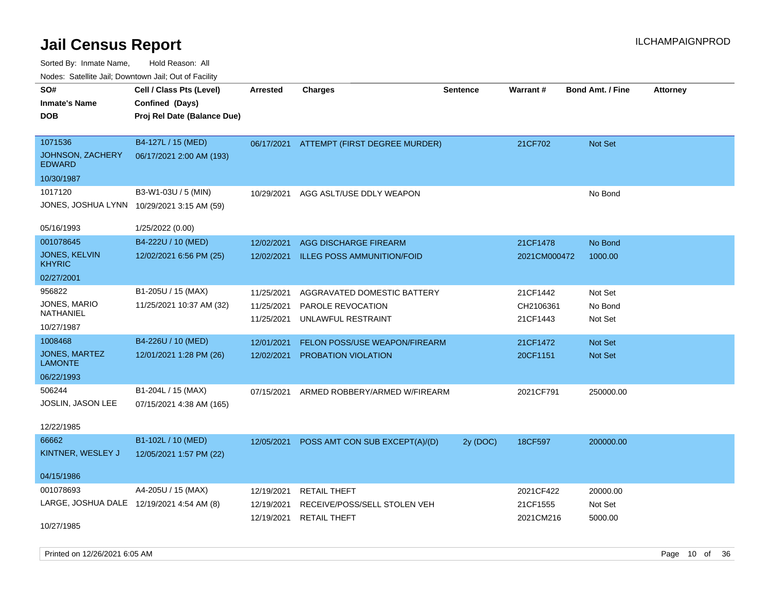Sorted By: Inmate Name, Hold Reason: All Nodes: Satellite Jail; Downtown Jail; Out of Facility

| SO#                                       | Cell / Class Pts (Level)    | Arrested   | <b>Charges</b>                    | <b>Sentence</b> | Warrant#     | <b>Bond Amt. / Fine</b> | <b>Attorney</b> |
|-------------------------------------------|-----------------------------|------------|-----------------------------------|-----------------|--------------|-------------------------|-----------------|
| <b>Inmate's Name</b>                      | Confined (Days)             |            |                                   |                 |              |                         |                 |
| <b>DOB</b>                                | Proj Rel Date (Balance Due) |            |                                   |                 |              |                         |                 |
|                                           |                             |            |                                   |                 |              |                         |                 |
| 1071536                                   | B4-127L / 15 (MED)          | 06/17/2021 | ATTEMPT (FIRST DEGREE MURDER)     |                 | 21CF702      | Not Set                 |                 |
| JOHNSON, ZACHERY<br><b>EDWARD</b>         | 06/17/2021 2:00 AM (193)    |            |                                   |                 |              |                         |                 |
| 10/30/1987                                |                             |            |                                   |                 |              |                         |                 |
| 1017120                                   | B3-W1-03U / 5 (MIN)         | 10/29/2021 | AGG ASLT/USE DDLY WEAPON          |                 |              | No Bond                 |                 |
| JONES, JOSHUA LYNN                        | 10/29/2021 3:15 AM (59)     |            |                                   |                 |              |                         |                 |
| 05/16/1993                                | 1/25/2022 (0.00)            |            |                                   |                 |              |                         |                 |
| 001078645                                 | B4-222U / 10 (MED)          | 12/02/2021 | <b>AGG DISCHARGE FIREARM</b>      |                 | 21CF1478     | No Bond                 |                 |
| JONES, KELVIN<br><b>KHYRIC</b>            | 12/02/2021 6:56 PM (25)     | 12/02/2021 | <b>ILLEG POSS AMMUNITION/FOID</b> |                 | 2021CM000472 | 1000.00                 |                 |
| 02/27/2001                                |                             |            |                                   |                 |              |                         |                 |
| 956822                                    | B1-205U / 15 (MAX)          | 11/25/2021 | AGGRAVATED DOMESTIC BATTERY       |                 | 21CF1442     | Not Set                 |                 |
| JONES, MARIO                              | 11/25/2021 10:37 AM (32)    | 11/25/2021 | PAROLE REVOCATION                 |                 | CH2106361    | No Bond                 |                 |
| <b>NATHANIEL</b>                          |                             | 11/25/2021 | UNLAWFUL RESTRAINT                |                 | 21CF1443     | Not Set                 |                 |
| 10/27/1987                                |                             |            |                                   |                 |              |                         |                 |
| 1008468                                   | B4-226U / 10 (MED)          | 12/01/2021 | FELON POSS/USE WEAPON/FIREARM     |                 | 21CF1472     | Not Set                 |                 |
| JONES, MARTEZ<br><b>LAMONTE</b>           | 12/01/2021 1:28 PM (26)     | 12/02/2021 | PROBATION VIOLATION               |                 | 20CF1151     | Not Set                 |                 |
| 06/22/1993                                |                             |            |                                   |                 |              |                         |                 |
| 506244                                    | B1-204L / 15 (MAX)          | 07/15/2021 | ARMED ROBBERY/ARMED W/FIREARM     |                 | 2021CF791    | 250000.00               |                 |
| JOSLIN, JASON LEE                         | 07/15/2021 4:38 AM (165)    |            |                                   |                 |              |                         |                 |
| 12/22/1985                                |                             |            |                                   |                 |              |                         |                 |
| 66662                                     | B1-102L / 10 (MED)          |            |                                   |                 |              |                         |                 |
| KINTNER, WESLEY J                         | 12/05/2021 1:57 PM (22)     | 12/05/2021 | POSS AMT CON SUB EXCEPT(A)/(D)    | 2y (DOC)        | 18CF597      | 200000.00               |                 |
|                                           |                             |            |                                   |                 |              |                         |                 |
| 04/15/1986                                |                             |            |                                   |                 |              |                         |                 |
| 001078693                                 | A4-205U / 15 (MAX)          | 12/19/2021 | <b>RETAIL THEFT</b>               |                 | 2021CF422    | 20000.00                |                 |
| LARGE, JOSHUA DALE 12/19/2021 4:54 AM (8) |                             | 12/19/2021 | RECEIVE/POSS/SELL STOLEN VEH      |                 | 21CF1555     | Not Set                 |                 |
|                                           |                             | 12/19/2021 | <b>RETAIL THEFT</b>               |                 | 2021CM216    | 5000.00                 |                 |
| 10/27/1985                                |                             |            |                                   |                 |              |                         |                 |

Printed on 12/26/2021 6:05 AM Page 10 of 36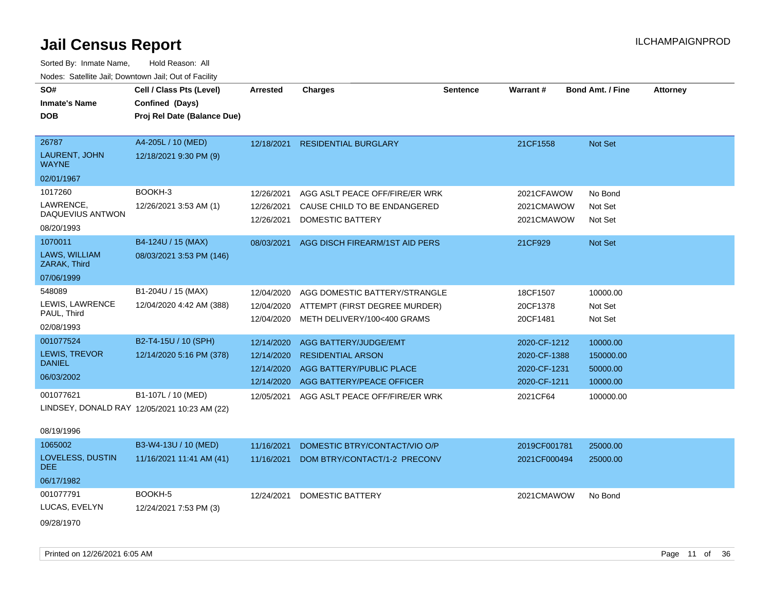Sorted By: Inmate Name, Hold Reason: All Nodes: Satellite Jail; Downtown Jail; Out of Facility

| SO#                                  | Cell / Class Pts (Level)                     | Arrested   | <b>Charges</b>                 | <b>Sentence</b> | Warrant#     | <b>Bond Amt. / Fine</b> | <b>Attorney</b> |
|--------------------------------------|----------------------------------------------|------------|--------------------------------|-----------------|--------------|-------------------------|-----------------|
|                                      |                                              |            |                                |                 |              |                         |                 |
| <b>Inmate's Name</b>                 | Confined (Days)                              |            |                                |                 |              |                         |                 |
| <b>DOB</b>                           | Proj Rel Date (Balance Due)                  |            |                                |                 |              |                         |                 |
|                                      |                                              |            |                                |                 |              |                         |                 |
| 26787                                | A4-205L / 10 (MED)                           | 12/18/2021 | <b>RESIDENTIAL BURGLARY</b>    |                 | 21CF1558     | Not Set                 |                 |
| <b>LAURENT, JOHN</b><br><b>WAYNE</b> | 12/18/2021 9:30 PM (9)                       |            |                                |                 |              |                         |                 |
| 02/01/1967                           |                                              |            |                                |                 |              |                         |                 |
| 1017260                              | BOOKH-3                                      | 12/26/2021 | AGG ASLT PEACE OFF/FIRE/ER WRK |                 | 2021CFAWOW   | No Bond                 |                 |
| LAWRENCE,                            | 12/26/2021 3:53 AM (1)                       | 12/26/2021 | CAUSE CHILD TO BE ENDANGERED   |                 | 2021CMAWOW   | Not Set                 |                 |
| DAQUEVIUS ANTWON                     |                                              | 12/26/2021 | DOMESTIC BATTERY               |                 | 2021CMAWOW   | Not Set                 |                 |
| 08/20/1993                           |                                              |            |                                |                 |              |                         |                 |
| 1070011                              | B4-124U / 15 (MAX)                           | 08/03/2021 | AGG DISCH FIREARM/1ST AID PERS |                 | 21CF929      | Not Set                 |                 |
| LAWS, WILLIAM<br>ZARAK, Third        | 08/03/2021 3:53 PM (146)                     |            |                                |                 |              |                         |                 |
| 07/06/1999                           |                                              |            |                                |                 |              |                         |                 |
| 548089                               | B1-204U / 15 (MAX)                           | 12/04/2020 | AGG DOMESTIC BATTERY/STRANGLE  |                 | 18CF1507     | 10000.00                |                 |
| LEWIS, LAWRENCE                      | 12/04/2020 4:42 AM (388)                     | 12/04/2020 | ATTEMPT (FIRST DEGREE MURDER)  |                 | 20CF1378     | Not Set                 |                 |
| PAUL, Third                          |                                              | 12/04/2020 | METH DELIVERY/100<400 GRAMS    |                 | 20CF1481     | Not Set                 |                 |
| 02/08/1993                           |                                              |            |                                |                 |              |                         |                 |
| 001077524                            | B2-T4-15U / 10 (SPH)                         | 12/14/2020 | <b>AGG BATTERY/JUDGE/EMT</b>   |                 | 2020-CF-1212 | 10000.00                |                 |
| <b>LEWIS, TREVOR</b>                 | 12/14/2020 5:16 PM (378)                     | 12/14/2020 | <b>RESIDENTIAL ARSON</b>       |                 | 2020-CF-1388 | 150000.00               |                 |
| <b>DANIEL</b>                        |                                              | 12/14/2020 | AGG BATTERY/PUBLIC PLACE       |                 | 2020-CF-1231 | 50000.00                |                 |
| 06/03/2002                           |                                              | 12/14/2020 | AGG BATTERY/PEACE OFFICER      |                 | 2020-CF-1211 | 10000.00                |                 |
| 001077621                            | B1-107L / 10 (MED)                           | 12/05/2021 | AGG ASLT PEACE OFF/FIRE/ER WRK |                 | 2021CF64     | 100000.00               |                 |
|                                      | LINDSEY, DONALD RAY 12/05/2021 10:23 AM (22) |            |                                |                 |              |                         |                 |

### 08/19/1996

| 1065002                  | B3-W4-13U / 10 (MED)     | 11/16/2021 | DOMESTIC BTRY/CONTACT/VIO O/P | 2019CF001781 | 25000.00 |
|--------------------------|--------------------------|------------|-------------------------------|--------------|----------|
| LOVELESS, DUSTIN<br>DEE. | 11/16/2021 11:41 AM (41) | 11/16/2021 | DOM BTRY/CONTACT/1-2 PRECONV  | 2021CF000494 | 25000.00 |
| 06/17/1982               |                          |            |                               |              |          |
| 001077791                | BOOKH-5                  | 12/24/2021 | DOMESTIC BATTERY              | 2021CMAWOW   | No Bond  |
| LUCAS, EVELYN            | 12/24/2021 7:53 PM (3)   |            |                               |              |          |
| 09/28/1970               |                          |            |                               |              |          |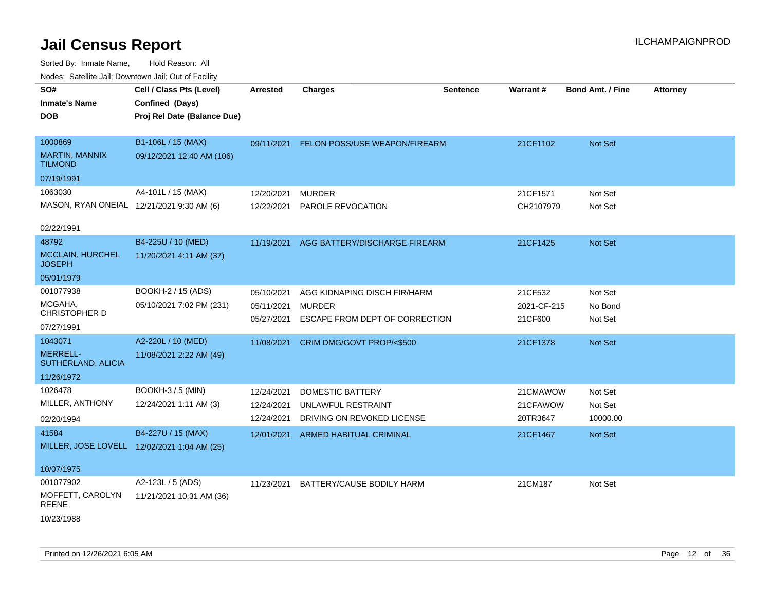| SO#                                       | Cell / Class Pts (Level)                    | <b>Arrested</b> | <b>Charges</b>                 | <b>Sentence</b> | Warrant#    | <b>Bond Amt. / Fine</b> | <b>Attorney</b> |
|-------------------------------------------|---------------------------------------------|-----------------|--------------------------------|-----------------|-------------|-------------------------|-----------------|
| <b>Inmate's Name</b>                      | Confined (Days)                             |                 |                                |                 |             |                         |                 |
| <b>DOB</b>                                | Proj Rel Date (Balance Due)                 |                 |                                |                 |             |                         |                 |
|                                           |                                             |                 |                                |                 |             |                         |                 |
| 1000869                                   | B1-106L / 15 (MAX)                          | 09/11/2021      | FELON POSS/USE WEAPON/FIREARM  |                 | 21CF1102    | Not Set                 |                 |
| MARTIN, MANNIX<br><b>TILMOND</b>          | 09/12/2021 12:40 AM (106)                   |                 |                                |                 |             |                         |                 |
| 07/19/1991                                |                                             |                 |                                |                 |             |                         |                 |
| 1063030                                   | A4-101L / 15 (MAX)                          | 12/20/2021      | <b>MURDER</b>                  |                 | 21CF1571    | Not Set                 |                 |
| MASON, RYAN ONEIAL 12/21/2021 9:30 AM (6) |                                             | 12/22/2021      | PAROLE REVOCATION              |                 | CH2107979   | Not Set                 |                 |
|                                           |                                             |                 |                                |                 |             |                         |                 |
| 02/22/1991                                |                                             |                 |                                |                 |             |                         |                 |
| 48792                                     | B4-225U / 10 (MED)                          | 11/19/2021      | AGG BATTERY/DISCHARGE FIREARM  |                 | 21CF1425    | Not Set                 |                 |
| <b>MCCLAIN, HURCHEL</b><br><b>JOSEPH</b>  | 11/20/2021 4:11 AM (37)                     |                 |                                |                 |             |                         |                 |
| 05/01/1979                                |                                             |                 |                                |                 |             |                         |                 |
| 001077938                                 | BOOKH-2 / 15 (ADS)                          | 05/10/2021      | AGG KIDNAPING DISCH FIR/HARM   |                 | 21CF532     | Not Set                 |                 |
| MCGAHA,                                   | 05/10/2021 7:02 PM (231)                    | 05/11/2021      | <b>MURDER</b>                  |                 | 2021-CF-215 | No Bond                 |                 |
| CHRISTOPHER D                             |                                             | 05/27/2021      | ESCAPE FROM DEPT OF CORRECTION |                 | 21CF600     | Not Set                 |                 |
| 07/27/1991                                |                                             |                 |                                |                 |             |                         |                 |
| 1043071                                   | A2-220L / 10 (MED)                          | 11/08/2021      | CRIM DMG/GOVT PROP/<\$500      |                 | 21CF1378    | Not Set                 |                 |
| MERRELL-<br>SUTHERLAND, ALICIA            | 11/08/2021 2:22 AM (49)                     |                 |                                |                 |             |                         |                 |
| 11/26/1972                                |                                             |                 |                                |                 |             |                         |                 |
| 1026478                                   | <b>BOOKH-3 / 5 (MIN)</b>                    | 12/24/2021      | <b>DOMESTIC BATTERY</b>        |                 | 21CMAWOW    | Not Set                 |                 |
| MILLER, ANTHONY                           | 12/24/2021 1:11 AM (3)                      | 12/24/2021      | UNLAWFUL RESTRAINT             |                 | 21CFAWOW    | Not Set                 |                 |
| 02/20/1994                                |                                             | 12/24/2021      | DRIVING ON REVOKED LICENSE     |                 | 20TR3647    | 10000.00                |                 |
| 41584                                     | B4-227U / 15 (MAX)                          | 12/01/2021      | <b>ARMED HABITUAL CRIMINAL</b> |                 | 21CF1467    | Not Set                 |                 |
|                                           | MILLER, JOSE LOVELL 12/02/2021 1:04 AM (25) |                 |                                |                 |             |                         |                 |
|                                           |                                             |                 |                                |                 |             |                         |                 |
| 10/07/1975                                |                                             |                 |                                |                 |             |                         |                 |
| 001077902                                 | A2-123L / 5 (ADS)                           | 11/23/2021      | BATTERY/CAUSE BODILY HARM      |                 | 21CM187     | Not Set                 |                 |
| MOFFETT, CAROLYN<br>REENE                 | 11/21/2021 10:31 AM (36)                    |                 |                                |                 |             |                         |                 |
| 10/23/1988                                |                                             |                 |                                |                 |             |                         |                 |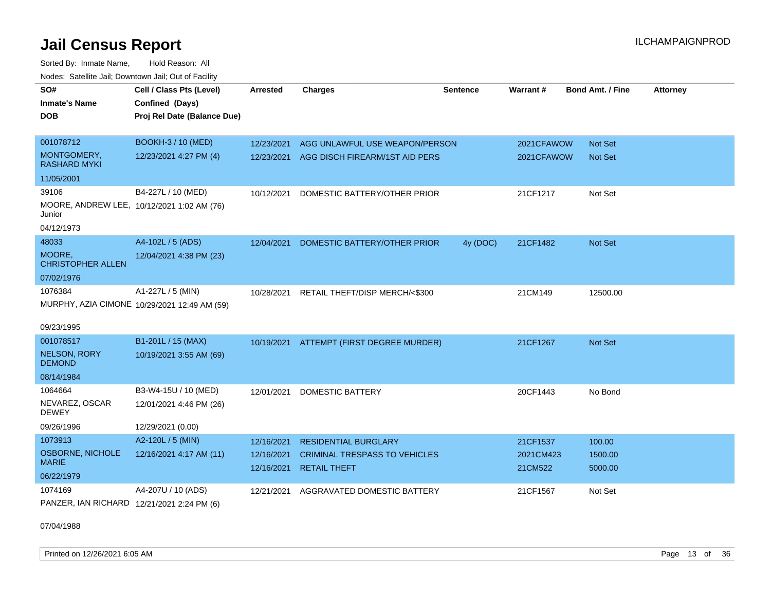Sorted By: Inmate Name, Hold Reason: All Nodes: Satellite Jail; Downtown Jail; Out of Facility

| SO#<br><b>Inmate's Name</b><br><b>DOB</b>                                                 | Cell / Class Pts (Level)<br>Confined (Days)<br>Proj Rel Date (Balance Due) | <b>Arrested</b>                        | <b>Charges</b>                                                                             | <b>Sentence</b> | Warrant#                         | <b>Bond Amt. / Fine</b>      | <b>Attorney</b> |
|-------------------------------------------------------------------------------------------|----------------------------------------------------------------------------|----------------------------------------|--------------------------------------------------------------------------------------------|-----------------|----------------------------------|------------------------------|-----------------|
| 001078712<br>MONTGOMERY,<br><b>RASHARD MYKI</b>                                           | BOOKH-3 / 10 (MED)<br>12/23/2021 4:27 PM (4)                               | 12/23/2021<br>12/23/2021               | AGG UNLAWFUL USE WEAPON/PERSON<br>AGG DISCH FIREARM/1ST AID PERS                           |                 | 2021CFAWOW<br>2021CFAWOW         | Not Set<br><b>Not Set</b>    |                 |
| 11/05/2001<br>39106<br>MOORE, ANDREW LEE, 10/12/2021 1:02 AM (76)<br>Junior<br>04/12/1973 | B4-227L / 10 (MED)                                                         | 10/12/2021                             | DOMESTIC BATTERY/OTHER PRIOR                                                               |                 | 21CF1217                         | Not Set                      |                 |
| 48033<br>MOORE,<br><b>CHRISTOPHER ALLEN</b><br>07/02/1976                                 | A4-102L / 5 (ADS)<br>12/04/2021 4:38 PM (23)                               | 12/04/2021                             | DOMESTIC BATTERY/OTHER PRIOR                                                               | 4y (DOC)        | 21CF1482                         | <b>Not Set</b>               |                 |
| 1076384<br>09/23/1995                                                                     | A1-227L / 5 (MIN)<br>MURPHY, AZIA CIMONE 10/29/2021 12:49 AM (59)          | 10/28/2021                             | RETAIL THEFT/DISP MERCH/<\$300                                                             |                 | 21CM149                          | 12500.00                     |                 |
| 001078517<br><b>NELSON, RORY</b><br><b>DEMOND</b><br>08/14/1984                           | B1-201L / 15 (MAX)<br>10/19/2021 3:55 AM (69)                              |                                        | 10/19/2021 ATTEMPT (FIRST DEGREE MURDER)                                                   |                 | 21CF1267                         | <b>Not Set</b>               |                 |
| 1064664<br>NEVAREZ, OSCAR<br><b>DEWEY</b><br>09/26/1996                                   | B3-W4-15U / 10 (MED)<br>12/01/2021 4:46 PM (26)<br>12/29/2021 (0.00)       | 12/01/2021                             | <b>DOMESTIC BATTERY</b>                                                                    |                 | 20CF1443                         | No Bond                      |                 |
| 1073913<br><b>OSBORNE, NICHOLE</b><br><b>MARIE</b><br>06/22/1979                          | A2-120L / 5 (MIN)<br>12/16/2021 4:17 AM (11)                               | 12/16/2021<br>12/16/2021<br>12/16/2021 | <b>RESIDENTIAL BURGLARY</b><br><b>CRIMINAL TRESPASS TO VEHICLES</b><br><b>RETAIL THEFT</b> |                 | 21CF1537<br>2021CM423<br>21CM522 | 100.00<br>1500.00<br>5000.00 |                 |
| 1074169<br>PANZER, IAN RICHARD 12/21/2021 2:24 PM (6)                                     | A4-207U / 10 (ADS)                                                         | 12/21/2021                             | AGGRAVATED DOMESTIC BATTERY                                                                |                 | 21CF1567                         | Not Set                      |                 |

07/04/1988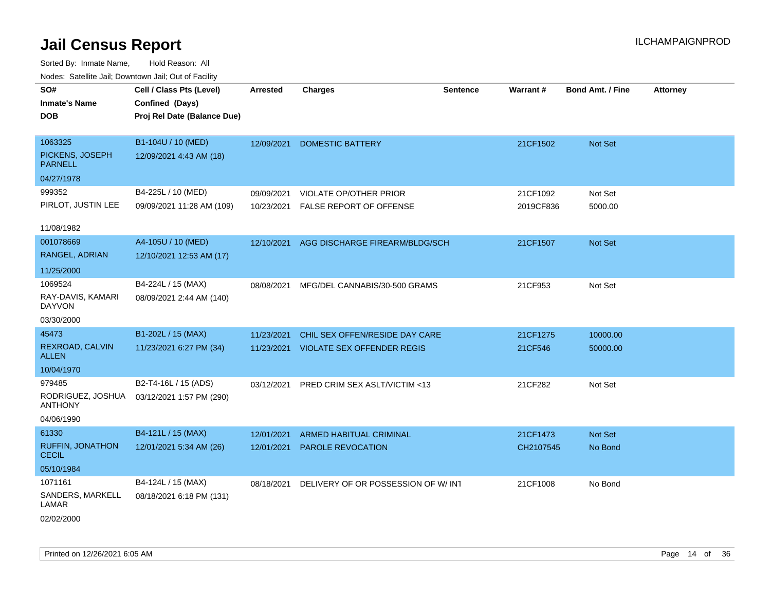| roacs. Catellite Jall, Downtown Jall, Out of Facility |                             |                 |                                       |                 |                 |                         |                 |
|-------------------------------------------------------|-----------------------------|-----------------|---------------------------------------|-----------------|-----------------|-------------------------|-----------------|
| SO#                                                   | Cell / Class Pts (Level)    | <b>Arrested</b> | <b>Charges</b>                        | <b>Sentence</b> | <b>Warrant#</b> | <b>Bond Amt. / Fine</b> | <b>Attorney</b> |
| <b>Inmate's Name</b>                                  | Confined (Days)             |                 |                                       |                 |                 |                         |                 |
| <b>DOB</b>                                            | Proj Rel Date (Balance Due) |                 |                                       |                 |                 |                         |                 |
|                                                       |                             |                 |                                       |                 |                 |                         |                 |
| 1063325                                               | B1-104U / 10 (MED)          | 12/09/2021      | <b>DOMESTIC BATTERY</b>               |                 | 21CF1502        | Not Set                 |                 |
| PICKENS, JOSEPH<br><b>PARNELL</b>                     | 12/09/2021 4:43 AM (18)     |                 |                                       |                 |                 |                         |                 |
| 04/27/1978                                            |                             |                 |                                       |                 |                 |                         |                 |
| 999352                                                | B4-225L / 10 (MED)          | 09/09/2021      | VIOLATE OP/OTHER PRIOR                |                 | 21CF1092        | Not Set                 |                 |
| PIRLOT, JUSTIN LEE                                    | 09/09/2021 11:28 AM (109)   | 10/23/2021      | FALSE REPORT OF OFFENSE               |                 | 2019CF836       | 5000.00                 |                 |
| 11/08/1982                                            |                             |                 |                                       |                 |                 |                         |                 |
| 001078669                                             | A4-105U / 10 (MED)          | 12/10/2021      | AGG DISCHARGE FIREARM/BLDG/SCH        |                 | 21CF1507        | Not Set                 |                 |
| RANGEL, ADRIAN                                        | 12/10/2021 12:53 AM (17)    |                 |                                       |                 |                 |                         |                 |
| 11/25/2000                                            |                             |                 |                                       |                 |                 |                         |                 |
| 1069524                                               | B4-224L / 15 (MAX)          | 08/08/2021      | MFG/DEL CANNABIS/30-500 GRAMS         |                 | 21CF953         | Not Set                 |                 |
| RAY-DAVIS, KAMARI<br><b>DAYVON</b>                    | 08/09/2021 2:44 AM (140)    |                 |                                       |                 |                 |                         |                 |
| 03/30/2000                                            |                             |                 |                                       |                 |                 |                         |                 |
| 45473                                                 | B1-202L / 15 (MAX)          | 11/23/2021      | CHIL SEX OFFEN/RESIDE DAY CARE        |                 | 21CF1275        | 10000.00                |                 |
| REXROAD, CALVIN<br><b>ALLEN</b>                       | 11/23/2021 6:27 PM (34)     |                 | 11/23/2021 VIOLATE SEX OFFENDER REGIS |                 | 21CF546         | 50000.00                |                 |
| 10/04/1970                                            |                             |                 |                                       |                 |                 |                         |                 |
| 979485                                                | B2-T4-16L / 15 (ADS)        | 03/12/2021      | PRED CRIM SEX ASLT/VICTIM <13         |                 | 21CF282         | Not Set                 |                 |
| RODRIGUEZ, JOSHUA<br><b>ANTHONY</b>                   | 03/12/2021 1:57 PM (290)    |                 |                                       |                 |                 |                         |                 |
| 04/06/1990                                            |                             |                 |                                       |                 |                 |                         |                 |
| 61330                                                 | B4-121L / 15 (MAX)          | 12/01/2021      | <b>ARMED HABITUAL CRIMINAL</b>        |                 | 21CF1473        | Not Set                 |                 |
| RUFFIN, JONATHON<br><b>CECIL</b>                      | 12/01/2021 5:34 AM (26)     | 12/01/2021      | PAROLE REVOCATION                     |                 | CH2107545       | No Bond                 |                 |
| 05/10/1984                                            |                             |                 |                                       |                 |                 |                         |                 |
| 1071161                                               | B4-124L / 15 (MAX)          | 08/18/2021      | DELIVERY OF OR POSSESSION OF W/INT    |                 | 21CF1008        | No Bond                 |                 |
| SANDERS, MARKELL<br>LAMAR                             | 08/18/2021 6:18 PM (131)    |                 |                                       |                 |                 |                         |                 |
| 02/02/2000                                            |                             |                 |                                       |                 |                 |                         |                 |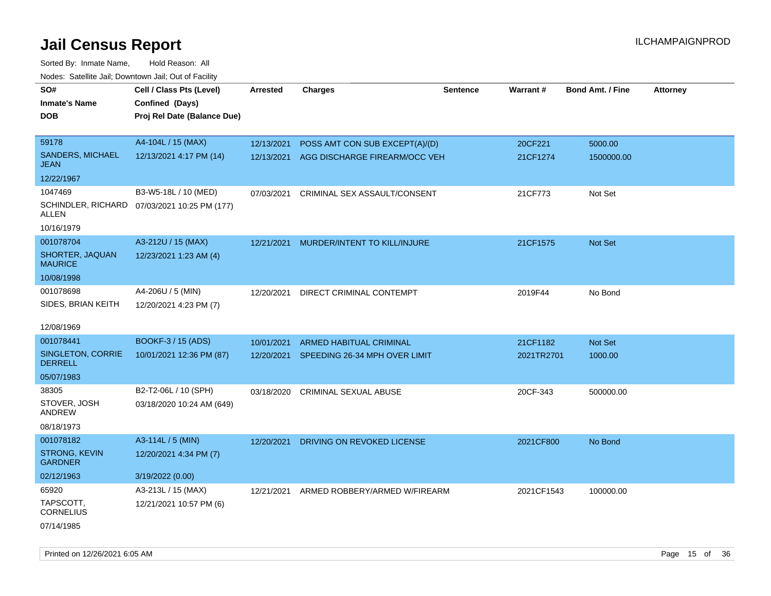| SO#                                    | Cell / Class Pts (Level)                     | <b>Arrested</b> | <b>Charges</b>                 | Sentence | Warrant#   | <b>Bond Amt. / Fine</b> | <b>Attorney</b> |
|----------------------------------------|----------------------------------------------|-----------------|--------------------------------|----------|------------|-------------------------|-----------------|
| <b>Inmate's Name</b>                   | Confined (Days)                              |                 |                                |          |            |                         |                 |
| <b>DOB</b>                             | Proj Rel Date (Balance Due)                  |                 |                                |          |            |                         |                 |
|                                        |                                              |                 |                                |          |            |                         |                 |
| 59178                                  | A4-104L / 15 (MAX)                           | 12/13/2021      | POSS AMT CON SUB EXCEPT(A)/(D) |          | 20CF221    | 5000.00                 |                 |
| SANDERS, MICHAEL<br><b>JEAN</b>        | 12/13/2021 4:17 PM (14)                      | 12/13/2021      | AGG DISCHARGE FIREARM/OCC VEH  |          | 21CF1274   | 1500000.00              |                 |
| 12/22/1967                             |                                              |                 |                                |          |            |                         |                 |
| 1047469                                | B3-W5-18L / 10 (MED)                         | 07/03/2021      | CRIMINAL SEX ASSAULT/CONSENT   |          | 21CF773    | Not Set                 |                 |
| ALLEN                                  | SCHINDLER, RICHARD 07/03/2021 10:25 PM (177) |                 |                                |          |            |                         |                 |
| 10/16/1979                             |                                              |                 |                                |          |            |                         |                 |
| 001078704                              | A3-212U / 15 (MAX)                           | 12/21/2021      | MURDER/INTENT TO KILL/INJURE   |          | 21CF1575   | Not Set                 |                 |
| SHORTER, JAQUAN<br><b>MAURICE</b>      | 12/23/2021 1:23 AM (4)                       |                 |                                |          |            |                         |                 |
| 10/08/1998                             |                                              |                 |                                |          |            |                         |                 |
| 001078698                              | A4-206U / 5 (MIN)                            | 12/20/2021      | DIRECT CRIMINAL CONTEMPT       |          | 2019F44    | No Bond                 |                 |
| SIDES, BRIAN KEITH                     | 12/20/2021 4:23 PM (7)                       |                 |                                |          |            |                         |                 |
|                                        |                                              |                 |                                |          |            |                         |                 |
| 12/08/1969                             |                                              |                 |                                |          |            |                         |                 |
| 001078441                              | BOOKF-3 / 15 (ADS)                           | 10/01/2021      | ARMED HABITUAL CRIMINAL        |          | 21CF1182   | Not Set                 |                 |
| SINGLETON, CORRIE<br><b>DERRELL</b>    | 10/01/2021 12:36 PM (87)                     | 12/20/2021      | SPEEDING 26-34 MPH OVER LIMIT  |          | 2021TR2701 | 1000.00                 |                 |
| 05/07/1983                             |                                              |                 |                                |          |            |                         |                 |
| 38305                                  | B2-T2-06L / 10 (SPH)                         | 03/18/2020      | <b>CRIMINAL SEXUAL ABUSE</b>   |          | 20CF-343   | 500000.00               |                 |
| STOVER, JOSH<br><b>ANDREW</b>          | 03/18/2020 10:24 AM (649)                    |                 |                                |          |            |                         |                 |
| 08/18/1973                             |                                              |                 |                                |          |            |                         |                 |
| 001078182                              | A3-114L / 5 (MIN)                            | 12/20/2021      | DRIVING ON REVOKED LICENSE     |          | 2021CF800  | No Bond                 |                 |
| <b>STRONG, KEVIN</b><br><b>GARDNER</b> | 12/20/2021 4:34 PM (7)                       |                 |                                |          |            |                         |                 |
| 02/12/1963                             | 3/19/2022 (0.00)                             |                 |                                |          |            |                         |                 |
| 65920                                  | A3-213L / 15 (MAX)                           | 12/21/2021      | ARMED ROBBERY/ARMED W/FIREARM  |          | 2021CF1543 | 100000.00               |                 |
| TAPSCOTT,<br><b>CORNELIUS</b>          | 12/21/2021 10:57 PM (6)                      |                 |                                |          |            |                         |                 |
| 07/14/1985                             |                                              |                 |                                |          |            |                         |                 |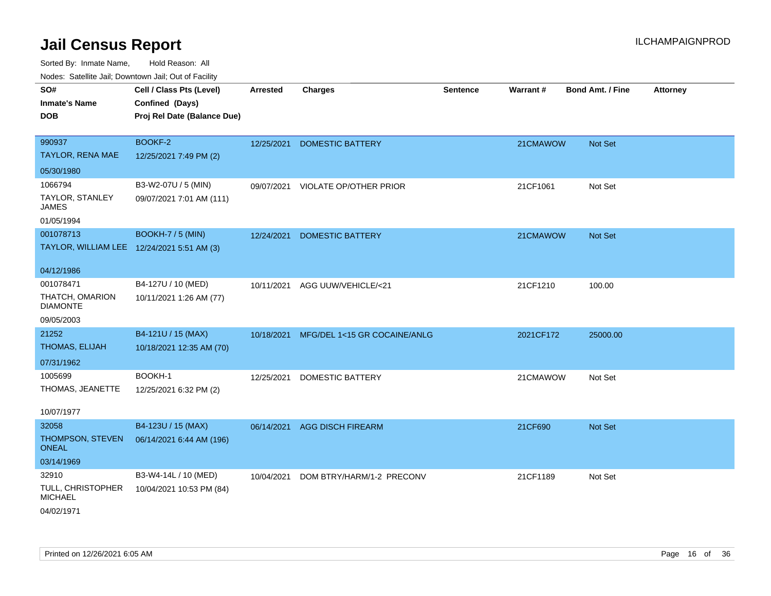| Noues. Salemie Jan, Downtown Jan, Out of Facility |                             |                 |                               |                 |           |                         |                 |
|---------------------------------------------------|-----------------------------|-----------------|-------------------------------|-----------------|-----------|-------------------------|-----------------|
| SO#                                               | Cell / Class Pts (Level)    | <b>Arrested</b> | <b>Charges</b>                | <b>Sentence</b> | Warrant#  | <b>Bond Amt. / Fine</b> | <b>Attorney</b> |
| <b>Inmate's Name</b>                              | Confined (Days)             |                 |                               |                 |           |                         |                 |
| <b>DOB</b>                                        | Proj Rel Date (Balance Due) |                 |                               |                 |           |                         |                 |
|                                                   |                             |                 |                               |                 |           |                         |                 |
| 990937                                            | BOOKF-2                     | 12/25/2021      | <b>DOMESTIC BATTERY</b>       |                 | 21CMAWOW  | Not Set                 |                 |
| TAYLOR, RENA MAE                                  | 12/25/2021 7:49 PM (2)      |                 |                               |                 |           |                         |                 |
| 05/30/1980                                        |                             |                 |                               |                 |           |                         |                 |
| 1066794                                           | B3-W2-07U / 5 (MIN)         | 09/07/2021      | <b>VIOLATE OP/OTHER PRIOR</b> |                 | 21CF1061  | Not Set                 |                 |
| TAYLOR, STANLEY<br>JAMES                          | 09/07/2021 7:01 AM (111)    |                 |                               |                 |           |                         |                 |
| 01/05/1994                                        |                             |                 |                               |                 |           |                         |                 |
| 001078713                                         | <b>BOOKH-7 / 5 (MIN)</b>    | 12/24/2021      | <b>DOMESTIC BATTERY</b>       |                 | 21CMAWOW  | Not Set                 |                 |
| TAYLOR, WILLIAM LEE 12/24/2021 5:51 AM (3)        |                             |                 |                               |                 |           |                         |                 |
|                                                   |                             |                 |                               |                 |           |                         |                 |
| 04/12/1986                                        |                             |                 |                               |                 |           |                         |                 |
| 001078471                                         | B4-127U / 10 (MED)          | 10/11/2021      | AGG UUW/VEHICLE/<21           |                 | 21CF1210  | 100.00                  |                 |
| THATCH, OMARION<br><b>DIAMONTE</b>                | 10/11/2021 1:26 AM (77)     |                 |                               |                 |           |                         |                 |
| 09/05/2003                                        |                             |                 |                               |                 |           |                         |                 |
| 21252                                             | B4-121U / 15 (MAX)          | 10/18/2021      | MFG/DEL 1<15 GR COCAINE/ANLG  |                 | 2021CF172 | 25000.00                |                 |
| THOMAS, ELIJAH                                    | 10/18/2021 12:35 AM (70)    |                 |                               |                 |           |                         |                 |
| 07/31/1962                                        |                             |                 |                               |                 |           |                         |                 |
| 1005699                                           | BOOKH-1                     | 12/25/2021      | <b>DOMESTIC BATTERY</b>       |                 | 21CMAWOW  | Not Set                 |                 |
| THOMAS, JEANETTE                                  | 12/25/2021 6:32 PM (2)      |                 |                               |                 |           |                         |                 |
|                                                   |                             |                 |                               |                 |           |                         |                 |
| 10/07/1977                                        |                             |                 |                               |                 |           |                         |                 |
| 32058                                             | B4-123U / 15 (MAX)          | 06/14/2021      | <b>AGG DISCH FIREARM</b>      |                 | 21CF690   | Not Set                 |                 |
| THOMPSON, STEVEN<br><b>ONEAL</b>                  | 06/14/2021 6:44 AM (196)    |                 |                               |                 |           |                         |                 |
| 03/14/1969                                        |                             |                 |                               |                 |           |                         |                 |
| 32910                                             | B3-W4-14L / 10 (MED)        | 10/04/2021      | DOM BTRY/HARM/1-2 PRECONV     |                 | 21CF1189  | Not Set                 |                 |
| TULL, CHRISTOPHER<br><b>MICHAEL</b>               | 10/04/2021 10:53 PM (84)    |                 |                               |                 |           |                         |                 |
| 04/02/1971                                        |                             |                 |                               |                 |           |                         |                 |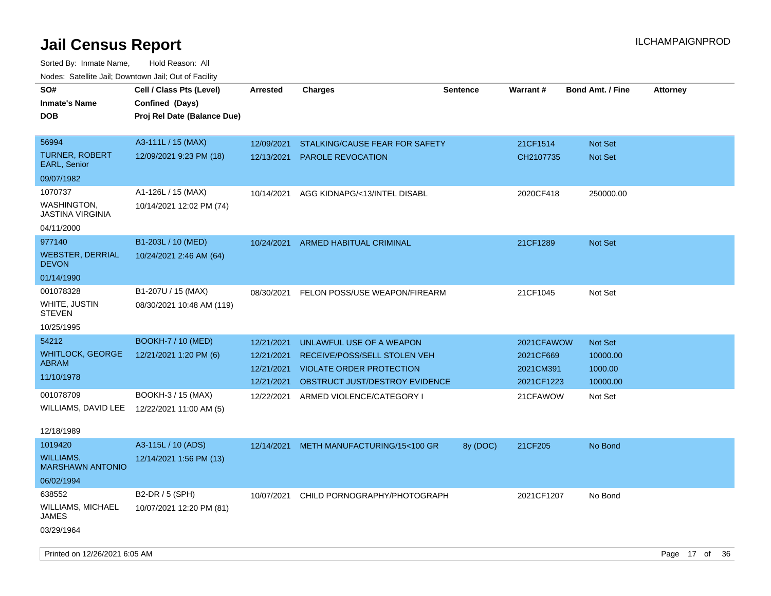| SO#<br><b>Inmate's Name</b><br><b>DOB</b>                       | Cell / Class Pts (Level)<br>Confined (Days)<br>Proj Rel Date (Balance Due) | Arrested                               | <b>Charges</b>                                                                                    | Sentence | Warrant#                             | <b>Bond Amt. / Fine</b>          | <b>Attorney</b> |  |
|-----------------------------------------------------------------|----------------------------------------------------------------------------|----------------------------------------|---------------------------------------------------------------------------------------------------|----------|--------------------------------------|----------------------------------|-----------------|--|
| 56994<br><b>TURNER, ROBERT</b><br><b>EARL, Senior</b>           | A3-111L / 15 (MAX)<br>12/09/2021 9:23 PM (18)                              | 12/09/2021<br>12/13/2021               | STALKING/CAUSE FEAR FOR SAFETY<br><b>PAROLE REVOCATION</b>                                        |          | 21CF1514<br>CH2107735                | <b>Not Set</b><br><b>Not Set</b> |                 |  |
| 09/07/1982                                                      |                                                                            |                                        |                                                                                                   |          |                                      |                                  |                 |  |
| 1070737<br>WASHINGTON,<br><b>JASTINA VIRGINIA</b><br>04/11/2000 | A1-126L / 15 (MAX)<br>10/14/2021 12:02 PM (74)                             | 10/14/2021                             | AGG KIDNAPG/<13/INTEL DISABL                                                                      |          | 2020CF418                            | 250000.00                        |                 |  |
|                                                                 |                                                                            |                                        |                                                                                                   |          |                                      |                                  |                 |  |
| 977140<br><b>WEBSTER, DERRIAL</b><br><b>DEVON</b>               | B1-203L / 10 (MED)<br>10/24/2021 2:46 AM (64)                              | 10/24/2021                             | ARMED HABITUAL CRIMINAL                                                                           |          | 21CF1289                             | <b>Not Set</b>                   |                 |  |
| 01/14/1990                                                      |                                                                            |                                        |                                                                                                   |          |                                      |                                  |                 |  |
| 001078328<br>WHITE, JUSTIN<br><b>STEVEN</b><br>10/25/1995       | B1-207U / 15 (MAX)<br>08/30/2021 10:48 AM (119)                            | 08/30/2021                             | FELON POSS/USE WEAPON/FIREARM                                                                     |          | 21CF1045                             | Not Set                          |                 |  |
| 54212                                                           | <b>BOOKH-7 / 10 (MED)</b>                                                  | 12/21/2021                             | UNLAWFUL USE OF A WEAPON                                                                          |          | 2021CFAWOW                           | Not Set                          |                 |  |
| <b>WHITLOCK, GEORGE</b><br><b>ABRAM</b><br>11/10/1978           | 12/21/2021 1:20 PM (6)                                                     | 12/21/2021<br>12/21/2021<br>12/21/2021 | RECEIVE/POSS/SELL STOLEN VEH<br><b>VIOLATE ORDER PROTECTION</b><br>OBSTRUCT JUST/DESTROY EVIDENCE |          | 2021CF669<br>2021CM391<br>2021CF1223 | 10000.00<br>1000.00<br>10000.00  |                 |  |
| 001078709<br>WILLIAMS, DAVID LEE<br>12/18/1989                  | BOOKH-3 / 15 (MAX)<br>12/22/2021 11:00 AM (5)                              | 12/22/2021                             | ARMED VIOLENCE/CATEGORY I                                                                         |          | 21CFAWOW                             | Not Set                          |                 |  |
| 1019420<br>WILLIAMS,<br><b>MARSHAWN ANTONIO</b>                 | A3-115L / 10 (ADS)<br>12/14/2021 1:56 PM (13)                              | 12/14/2021                             | METH MANUFACTURING/15<100 GR                                                                      | 8y (DOC) | 21CF205                              | No Bond                          |                 |  |
| 06/02/1994                                                      |                                                                            |                                        |                                                                                                   |          |                                      |                                  |                 |  |
| 638552<br><b>WILLIAMS, MICHAEL</b><br><b>JAMES</b>              | B2-DR / 5 (SPH)<br>10/07/2021 12:20 PM (81)                                | 10/07/2021                             | CHILD PORNOGRAPHY/PHOTOGRAPH                                                                      |          | 2021CF1207                           | No Bond                          |                 |  |
| 03/29/1964                                                      |                                                                            |                                        |                                                                                                   |          |                                      |                                  |                 |  |
| Printed on 12/26/2021 6:05 AM                                   |                                                                            |                                        |                                                                                                   |          |                                      |                                  | Page 17 of 36   |  |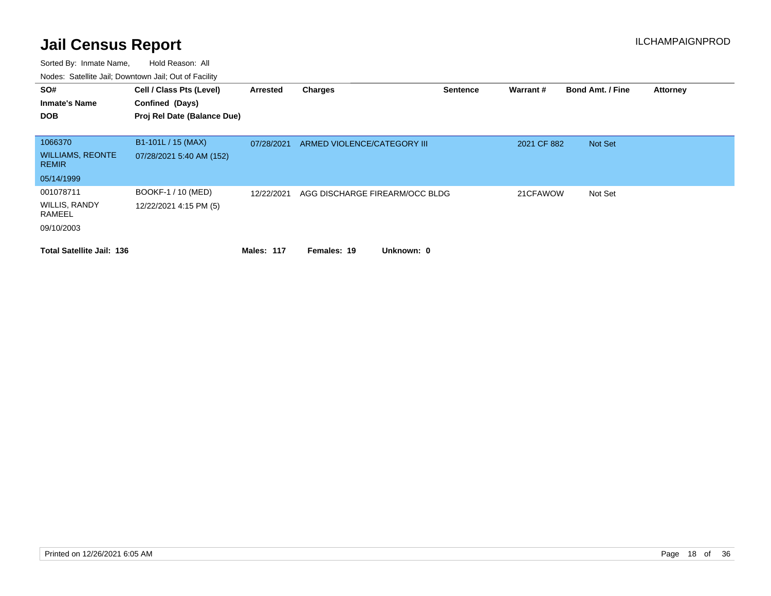| SO#<br><b>Inmate's Name</b><br><b>DOB</b> | Cell / Class Pts (Level)<br>Confined (Days)<br>Proj Rel Date (Balance Due) | Arrested          | <b>Charges</b>                 | <b>Sentence</b> | Warrant#    | <b>Bond Amt. / Fine</b> | <b>Attorney</b> |
|-------------------------------------------|----------------------------------------------------------------------------|-------------------|--------------------------------|-----------------|-------------|-------------------------|-----------------|
| 1066370                                   | B1-101L / 15 (MAX)                                                         | 07/28/2021        | ARMED VIOLENCE/CATEGORY III    |                 | 2021 CF 882 | Not Set                 |                 |
| <b>WILLIAMS, REONTE</b><br><b>REMIR</b>   | 07/28/2021 5:40 AM (152)                                                   |                   |                                |                 |             |                         |                 |
| 05/14/1999                                |                                                                            |                   |                                |                 |             |                         |                 |
| 001078711                                 | BOOKF-1 / 10 (MED)                                                         | 12/22/2021        | AGG DISCHARGE FIREARM/OCC BLDG |                 | 21CFAWOW    | Not Set                 |                 |
| <b>WILLIS, RANDY</b><br>RAMEEL            | 12/22/2021 4:15 PM (5)                                                     |                   |                                |                 |             |                         |                 |
| 09/10/2003                                |                                                                            |                   |                                |                 |             |                         |                 |
| <b>Total Satellite Jail: 136</b>          |                                                                            | <b>Males: 117</b> | Unknown: 0<br>Females: 19      |                 |             |                         |                 |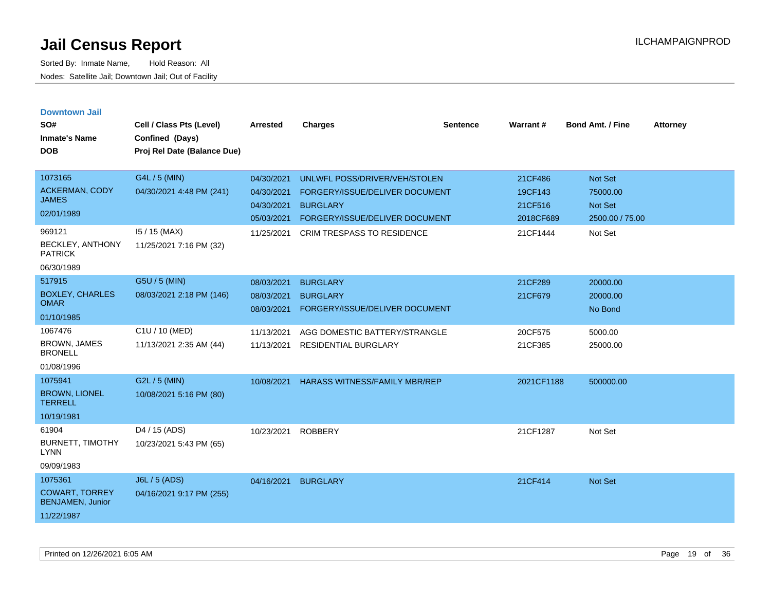| <b>Downtown Jail</b><br>SO#                      |                                             |                 |                                      |                 | Warrant#   | <b>Bond Amt. / Fine</b> |                 |
|--------------------------------------------------|---------------------------------------------|-----------------|--------------------------------------|-----------------|------------|-------------------------|-----------------|
| <b>Inmate's Name</b>                             | Cell / Class Pts (Level)<br>Confined (Days) | <b>Arrested</b> | <b>Charges</b>                       | <b>Sentence</b> |            |                         | <b>Attorney</b> |
| <b>DOB</b>                                       | Proj Rel Date (Balance Due)                 |                 |                                      |                 |            |                         |                 |
|                                                  |                                             |                 |                                      |                 |            |                         |                 |
| 1073165                                          | G4L / 5 (MIN)                               | 04/30/2021      | UNLWFL POSS/DRIVER/VEH/STOLEN        |                 | 21CF486    | <b>Not Set</b>          |                 |
| <b>ACKERMAN, CODY</b><br><b>JAMES</b>            | 04/30/2021 4:48 PM (241)                    | 04/30/2021      | FORGERY/ISSUE/DELIVER DOCUMENT       |                 | 19CF143    | 75000.00                |                 |
| 02/01/1989                                       |                                             | 04/30/2021      | <b>BURGLARY</b>                      |                 | 21CF516    | Not Set                 |                 |
|                                                  |                                             | 05/03/2021      | FORGERY/ISSUE/DELIVER DOCUMENT       |                 | 2018CF689  | 2500.00 / 75.00         |                 |
| 969121<br>BECKLEY, ANTHONY                       | $15/15$ (MAX)<br>11/25/2021 7:16 PM (32)    | 11/25/2021      | <b>CRIM TRESPASS TO RESIDENCE</b>    |                 | 21CF1444   | Not Set                 |                 |
| <b>PATRICK</b>                                   |                                             |                 |                                      |                 |            |                         |                 |
| 06/30/1989                                       |                                             |                 |                                      |                 |            |                         |                 |
| 517915                                           | G5U / 5 (MIN)                               | 08/03/2021      | <b>BURGLARY</b>                      |                 | 21CF289    | 20000.00                |                 |
| <b>BOXLEY, CHARLES</b><br><b>OMAR</b>            | 08/03/2021 2:18 PM (146)                    | 08/03/2021      | <b>BURGLARY</b>                      |                 | 21CF679    | 20000.00                |                 |
| 01/10/1985                                       |                                             | 08/03/2021      | FORGERY/ISSUE/DELIVER DOCUMENT       |                 |            | No Bond                 |                 |
| 1067476                                          | C1U / 10 (MED)                              | 11/13/2021      | AGG DOMESTIC BATTERY/STRANGLE        |                 | 20CF575    | 5000.00                 |                 |
| <b>BROWN, JAMES</b><br><b>BRONELL</b>            | 11/13/2021 2:35 AM (44)                     | 11/13/2021      | <b>RESIDENTIAL BURGLARY</b>          |                 | 21CF385    | 25000.00                |                 |
| 01/08/1996                                       |                                             |                 |                                      |                 |            |                         |                 |
| 1075941                                          | G2L / 5 (MIN)                               | 10/08/2021      | <b>HARASS WITNESS/FAMILY MBR/REP</b> |                 | 2021CF1188 | 500000.00               |                 |
| <b>BROWN, LIONEL</b><br><b>TERRELL</b>           | 10/08/2021 5:16 PM (80)                     |                 |                                      |                 |            |                         |                 |
| 10/19/1981                                       |                                             |                 |                                      |                 |            |                         |                 |
| 61904                                            | D4 / 15 (ADS)                               | 10/23/2021      | <b>ROBBERY</b>                       |                 | 21CF1287   | Not Set                 |                 |
| <b>BURNETT, TIMOTHY</b><br><b>LYNN</b>           | 10/23/2021 5:43 PM (65)                     |                 |                                      |                 |            |                         |                 |
| 09/09/1983                                       |                                             |                 |                                      |                 |            |                         |                 |
| 1075361                                          | <b>J6L / 5 (ADS)</b>                        | 04/16/2021      | <b>BURGLARY</b>                      |                 | 21CF414    | <b>Not Set</b>          |                 |
| <b>COWART, TORREY</b><br><b>BENJAMEN, Junior</b> | 04/16/2021 9:17 PM (255)                    |                 |                                      |                 |            |                         |                 |
| 11/22/1987                                       |                                             |                 |                                      |                 |            |                         |                 |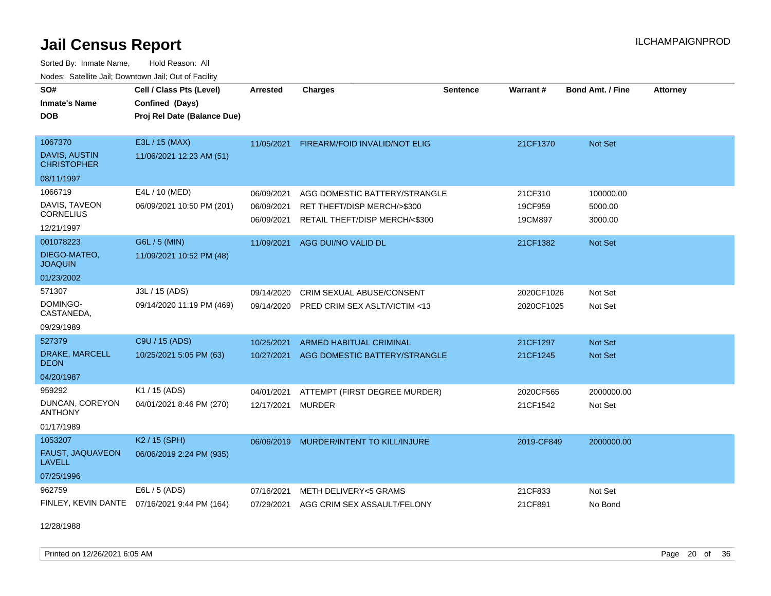Sorted By: Inmate Name, Hold Reason: All Nodes: Satellite Jail; Downtown Jail; Out of Facility

| SO#                                        | Cell / Class Pts (Level)    | <b>Arrested</b> | <b>Charges</b>                 | <b>Sentence</b> | Warrant #  | <b>Bond Amt. / Fine</b> | <b>Attorney</b> |
|--------------------------------------------|-----------------------------|-----------------|--------------------------------|-----------------|------------|-------------------------|-----------------|
| <b>Inmate's Name</b>                       | Confined (Days)             |                 |                                |                 |            |                         |                 |
| <b>DOB</b>                                 | Proj Rel Date (Balance Due) |                 |                                |                 |            |                         |                 |
|                                            |                             |                 |                                |                 |            |                         |                 |
| 1067370                                    | E3L / 15 (MAX)              | 11/05/2021      | FIREARM/FOID INVALID/NOT ELIG  |                 | 21CF1370   | Not Set                 |                 |
| <b>DAVIS, AUSTIN</b><br><b>CHRISTOPHER</b> | 11/06/2021 12:23 AM (51)    |                 |                                |                 |            |                         |                 |
| 08/11/1997                                 |                             |                 |                                |                 |            |                         |                 |
| 1066719                                    | E4L / 10 (MED)              | 06/09/2021      | AGG DOMESTIC BATTERY/STRANGLE  |                 | 21CF310    | 100000.00               |                 |
| DAVIS, TAVEON                              | 06/09/2021 10:50 PM (201)   | 06/09/2021      | RET THEFT/DISP MERCH/>\$300    |                 | 19CF959    | 5000.00                 |                 |
| <b>CORNELIUS</b><br>12/21/1997             |                             | 06/09/2021      | RETAIL THEFT/DISP MERCH/<\$300 |                 | 19CM897    | 3000.00                 |                 |
| 001078223                                  | G6L / 5 (MIN)               | 11/09/2021      | AGG DUI/NO VALID DL            |                 | 21CF1382   | Not Set                 |                 |
| DIEGO-MATEO,<br><b>JOAQUIN</b>             | 11/09/2021 10:52 PM (48)    |                 |                                |                 |            |                         |                 |
| 01/23/2002                                 |                             |                 |                                |                 |            |                         |                 |
| 571307                                     | J3L / 15 (ADS)              | 09/14/2020      | CRIM SEXUAL ABUSE/CONSENT      |                 | 2020CF1026 | Not Set                 |                 |
| DOMINGO-<br>CASTANEDA,                     | 09/14/2020 11:19 PM (469)   | 09/14/2020      | PRED CRIM SEX ASLT/VICTIM <13  |                 | 2020CF1025 | Not Set                 |                 |
| 09/29/1989                                 |                             |                 |                                |                 |            |                         |                 |
| 527379                                     | C9U / 15 (ADS)              | 10/25/2021      | <b>ARMED HABITUAL CRIMINAL</b> |                 | 21CF1297   | Not Set                 |                 |
| DRAKE, MARCELL<br><b>DEON</b>              | 10/25/2021 5:05 PM (63)     | 10/27/2021      | AGG DOMESTIC BATTERY/STRANGLE  |                 | 21CF1245   | <b>Not Set</b>          |                 |
| 04/20/1987                                 |                             |                 |                                |                 |            |                         |                 |
| 959292                                     | K1 / 15 (ADS)               | 04/01/2021      | ATTEMPT (FIRST DEGREE MURDER)  |                 | 2020CF565  | 2000000.00              |                 |
| DUNCAN, COREYON<br><b>ANTHONY</b>          | 04/01/2021 8:46 PM (270)    | 12/17/2021      | <b>MURDER</b>                  |                 | 21CF1542   | Not Set                 |                 |
| 01/17/1989                                 |                             |                 |                                |                 |            |                         |                 |
| 1053207                                    | K2 / 15 (SPH)               | 06/06/2019      | MURDER/INTENT TO KILL/INJURE   |                 | 2019-CF849 | 2000000.00              |                 |
| FAUST, JAQUAVEON<br><b>LAVELL</b>          | 06/06/2019 2:24 PM (935)    |                 |                                |                 |            |                         |                 |
| 07/25/1996                                 |                             |                 |                                |                 |            |                         |                 |
| 962759                                     | E6L / 5 (ADS)               | 07/16/2021      | METH DELIVERY<5 GRAMS          |                 | 21CF833    | Not Set                 |                 |
| FINLEY, KEVIN DANTE                        | 07/16/2021 9:44 PM (164)    | 07/29/2021      | AGG CRIM SEX ASSAULT/FELONY    |                 | 21CF891    | No Bond                 |                 |

12/28/1988

Printed on 12/26/2021 6:05 AM Page 20 of 36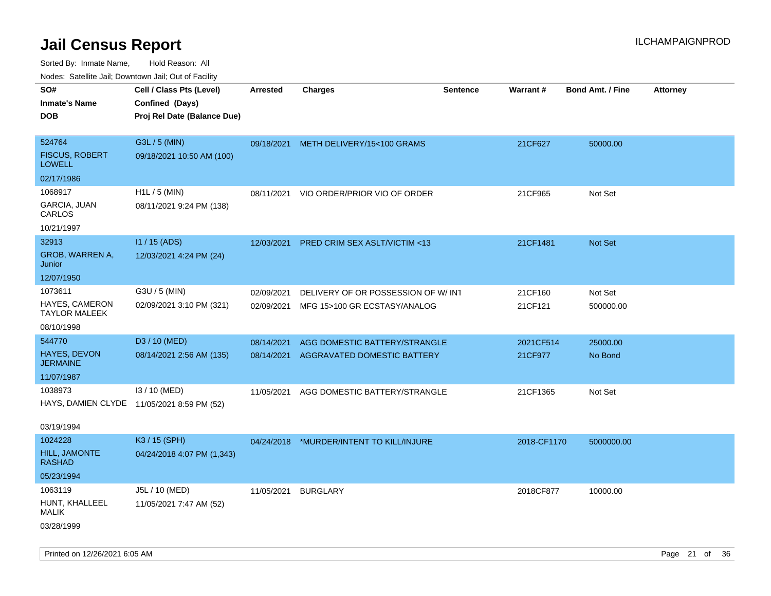| Nudes. Satellite Jali, Downtown Jali, Out of Facility |                                            |            |                                       |                 |             |                         |                 |
|-------------------------------------------------------|--------------------------------------------|------------|---------------------------------------|-----------------|-------------|-------------------------|-----------------|
| SO#                                                   | Cell / Class Pts (Level)                   | Arrested   | <b>Charges</b>                        | <b>Sentence</b> | Warrant#    | <b>Bond Amt. / Fine</b> | <b>Attorney</b> |
| <b>Inmate's Name</b>                                  | Confined (Days)                            |            |                                       |                 |             |                         |                 |
| <b>DOB</b>                                            | Proj Rel Date (Balance Due)                |            |                                       |                 |             |                         |                 |
|                                                       |                                            |            |                                       |                 |             |                         |                 |
| 524764                                                | G3L / 5 (MIN)                              |            | 09/18/2021 METH DELIVERY/15<100 GRAMS |                 | 21CF627     | 50000.00                |                 |
| <b>FISCUS, ROBERT</b><br>LOWELL                       | 09/18/2021 10:50 AM (100)                  |            |                                       |                 |             |                         |                 |
| 02/17/1986                                            |                                            |            |                                       |                 |             |                         |                 |
| 1068917                                               | H1L / 5 (MIN)                              | 08/11/2021 | VIO ORDER/PRIOR VIO OF ORDER          |                 | 21CF965     | Not Set                 |                 |
| GARCIA, JUAN<br>CARLOS                                | 08/11/2021 9:24 PM (138)                   |            |                                       |                 |             |                         |                 |
| 10/21/1997                                            |                                            |            |                                       |                 |             |                         |                 |
| 32913                                                 | $11/15$ (ADS)                              | 12/03/2021 | PRED CRIM SEX ASLT/VICTIM <13         |                 | 21CF1481    | <b>Not Set</b>          |                 |
| GROB, WARREN A,<br>Junior                             | 12/03/2021 4:24 PM (24)                    |            |                                       |                 |             |                         |                 |
| 12/07/1950                                            |                                            |            |                                       |                 |             |                         |                 |
| 1073611                                               | G3U / 5 (MIN)                              | 02/09/2021 | DELIVERY OF OR POSSESSION OF W/INT    |                 | 21CF160     | Not Set                 |                 |
| <b>HAYES, CAMERON</b><br>TAYLOR MALEEK                | 02/09/2021 3:10 PM (321)                   | 02/09/2021 | MFG 15>100 GR ECSTASY/ANALOG          |                 | 21CF121     | 500000.00               |                 |
| 08/10/1998                                            |                                            |            |                                       |                 |             |                         |                 |
| 544770                                                | D3 / 10 (MED)                              | 08/14/2021 | AGG DOMESTIC BATTERY/STRANGLE         |                 | 2021CF514   | 25000.00                |                 |
| <b>HAYES, DEVON</b><br>JERMAINE                       | 08/14/2021 2:56 AM (135)                   | 08/14/2021 | AGGRAVATED DOMESTIC BATTERY           |                 | 21CF977     | No Bond                 |                 |
| 11/07/1987                                            |                                            |            |                                       |                 |             |                         |                 |
| 1038973                                               | I3 / 10 (MED)                              | 11/05/2021 | AGG DOMESTIC BATTERY/STRANGLE         |                 | 21CF1365    | Not Set                 |                 |
|                                                       | HAYS, DAMIEN CLYDE 11/05/2021 8:59 PM (52) |            |                                       |                 |             |                         |                 |
| 03/19/1994                                            |                                            |            |                                       |                 |             |                         |                 |
| 1024228                                               | K3 / 15 (SPH)                              | 04/24/2018 | *MURDER/INTENT TO KILL/INJURE         |                 | 2018-CF1170 | 5000000.00              |                 |
| <b>HILL, JAMONTE</b><br>RASHAD                        | 04/24/2018 4:07 PM (1,343)                 |            |                                       |                 |             |                         |                 |
| 05/23/1994                                            |                                            |            |                                       |                 |             |                         |                 |
| 1063119                                               | J5L / 10 (MED)                             | 11/05/2021 | BURGLARY                              |                 | 2018CF877   | 10000.00                |                 |
| HUNT, KHALLEEL<br>MALIK                               | 11/05/2021 7:47 AM (52)                    |            |                                       |                 |             |                         |                 |
| 03/28/1999                                            |                                            |            |                                       |                 |             |                         |                 |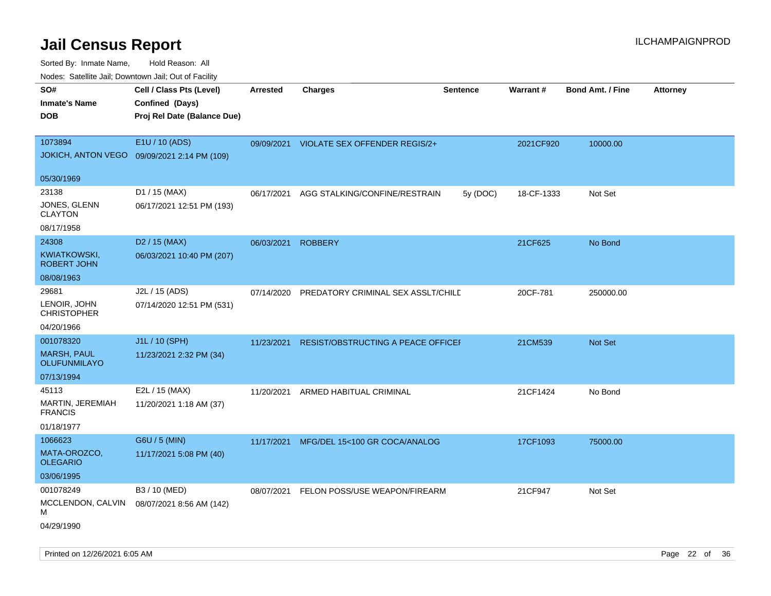Sorted By: Inmate Name, Hold Reason: All Nodes: Satellite Jail; Downtown Jail; Out of Facility

| rougs. Calcing Jan, Downtown Jan, Out of Facility                    |                                                                            |                 |                                           |                 |            |                         |                 |
|----------------------------------------------------------------------|----------------------------------------------------------------------------|-----------------|-------------------------------------------|-----------------|------------|-------------------------|-----------------|
| SO#<br><b>Inmate's Name</b><br><b>DOB</b>                            | Cell / Class Pts (Level)<br>Confined (Days)<br>Proj Rel Date (Balance Due) | <b>Arrested</b> | <b>Charges</b>                            | <b>Sentence</b> | Warrant#   | <b>Bond Amt. / Fine</b> | <b>Attorney</b> |
| 1073894<br><b>JOKICH, ANTON VEGO</b>                                 | E1U / 10 (ADS)<br>09/09/2021 2:14 PM (109)                                 |                 | 09/09/2021 VIOLATE SEX OFFENDER REGIS/2+  |                 | 2021CF920  | 10000.00                |                 |
| 05/30/1969                                                           |                                                                            |                 |                                           |                 |            |                         |                 |
| 23138<br>JONES, GLENN<br><b>CLAYTON</b><br>08/17/1958                | D1 / 15 (MAX)<br>06/17/2021 12:51 PM (193)                                 | 06/17/2021      | AGG STALKING/CONFINE/RESTRAIN             | 5y (DOC)        | 18-CF-1333 | Not Set                 |                 |
| 24308<br>KWIATKOWSKI,<br><b>ROBERT JOHN</b>                          | D <sub>2</sub> / 15 (MAX)<br>06/03/2021 10:40 PM (207)                     | 06/03/2021      | <b>ROBBERY</b>                            |                 | 21CF625    | No Bond                 |                 |
| 08/08/1963                                                           |                                                                            |                 |                                           |                 |            |                         |                 |
| 29681<br>LENOIR, JOHN<br><b>CHRISTOPHER</b>                          | J2L / 15 (ADS)<br>07/14/2020 12:51 PM (531)                                | 07/14/2020      | PREDATORY CRIMINAL SEX ASSLT/CHILD        |                 | 20CF-781   | 250000.00               |                 |
| 04/20/1966                                                           |                                                                            |                 |                                           |                 |            |                         |                 |
| 001078320<br><b>MARSH, PAUL</b><br><b>OLUFUNMILAYO</b><br>07/13/1994 | J1L / 10 (SPH)<br>11/23/2021 2:32 PM (34)                                  | 11/23/2021      | <b>RESIST/OBSTRUCTING A PEACE OFFICEF</b> |                 | 21CM539    | Not Set                 |                 |
| 45113                                                                | E2L / 15 (MAX)                                                             |                 |                                           |                 | 21CF1424   |                         |                 |
| <b>MARTIN, JEREMIAH</b><br><b>FRANCIS</b>                            | 11/20/2021 1:18 AM (37)                                                    | 11/20/2021      | ARMED HABITUAL CRIMINAL                   |                 |            | No Bond                 |                 |
| 01/18/1977                                                           |                                                                            |                 |                                           |                 |            |                         |                 |
| 1066623<br>MATA-OROZCO,<br>OLEGARIO<br>03/06/1995                    | G6U / 5 (MIN)<br>11/17/2021 5:08 PM (40)                                   | 11/17/2021      | MFG/DEL 15<100 GR COCA/ANALOG             |                 | 17CF1093   | 75000.00                |                 |
| 001078249<br>MCCLENDON, CALVIN<br>М<br>04/29/1990                    | B3 / 10 (MED)<br>08/07/2021 8:56 AM (142)                                  | 08/07/2021      | FELON POSS/USE WEAPON/FIREARM             |                 | 21CF947    | Not Set                 |                 |

Printed on 12/26/2021 6:05 AM Page 22 of 36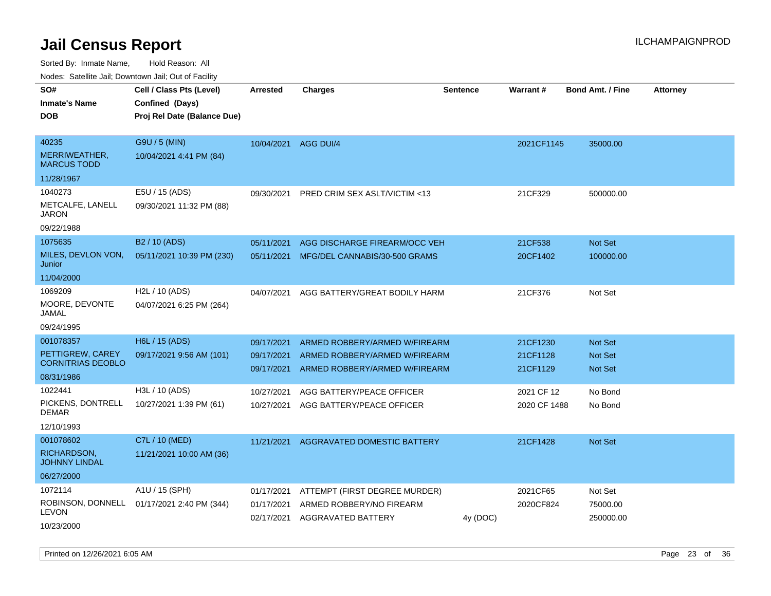Sorted By: Inmate Name, Hold Reason: All

Nodes: Satellite Jail; Downtown Jail; Out of Facility

| SO#                                        | Cell / Class Pts (Level)                   | <b>Arrested</b> | <b>Charges</b>                     | Sentence | Warrant#     | <b>Bond Amt. / Fine</b> | <b>Attorney</b> |
|--------------------------------------------|--------------------------------------------|-----------------|------------------------------------|----------|--------------|-------------------------|-----------------|
| <b>Inmate's Name</b>                       | Confined (Days)                            |                 |                                    |          |              |                         |                 |
| <b>DOB</b>                                 | Proj Rel Date (Balance Due)                |                 |                                    |          |              |                         |                 |
|                                            |                                            |                 |                                    |          |              |                         |                 |
| 40235                                      | G9U / 5 (MIN)                              | 10/04/2021      | <b>AGG DUI/4</b>                   |          | 2021CF1145   | 35000.00                |                 |
| MERRIWEATHER,<br><b>MARCUS TODD</b>        | 10/04/2021 4:41 PM (84)                    |                 |                                    |          |              |                         |                 |
| 11/28/1967                                 |                                            |                 |                                    |          |              |                         |                 |
| 1040273                                    | E5U / 15 (ADS)                             | 09/30/2021      | PRED CRIM SEX ASLT/VICTIM <13      |          | 21CF329      | 500000.00               |                 |
| METCALFE, LANELL<br><b>JARON</b>           | 09/30/2021 11:32 PM (88)                   |                 |                                    |          |              |                         |                 |
| 09/22/1988                                 |                                            |                 |                                    |          |              |                         |                 |
| 1075635                                    | B <sub>2</sub> / 10 (ADS)                  | 05/11/2021      | AGG DISCHARGE FIREARM/OCC VEH      |          | 21CF538      | <b>Not Set</b>          |                 |
| MILES, DEVLON VON,<br>Junior               | 05/11/2021 10:39 PM (230)                  | 05/11/2021      | MFG/DEL CANNABIS/30-500 GRAMS      |          | 20CF1402     | 100000.00               |                 |
| 11/04/2000                                 |                                            |                 |                                    |          |              |                         |                 |
| 1069209                                    | H <sub>2</sub> L / 10 (ADS)                | 04/07/2021      | AGG BATTERY/GREAT BODILY HARM      |          | 21CF376      | Not Set                 |                 |
| MOORE, DEVONTE<br>JAMAL                    | 04/07/2021 6:25 PM (264)                   |                 |                                    |          |              |                         |                 |
| 09/24/1995                                 |                                            |                 |                                    |          |              |                         |                 |
| 001078357                                  | H6L / 15 (ADS)                             | 09/17/2021      | ARMED ROBBERY/ARMED W/FIREARM      |          | 21CF1230     | <b>Not Set</b>          |                 |
| PETTIGREW, CAREY                           | 09/17/2021 9:56 AM (101)                   | 09/17/2021      | ARMED ROBBERY/ARMED W/FIREARM      |          | 21CF1128     | <b>Not Set</b>          |                 |
| <b>CORNITRIAS DEOBLO</b>                   |                                            | 09/17/2021      | ARMED ROBBERY/ARMED W/FIREARM      |          | 21CF1129     | <b>Not Set</b>          |                 |
| 08/31/1986                                 |                                            |                 |                                    |          |              |                         |                 |
| 1022441                                    | H3L / 10 (ADS)                             | 10/27/2021      | AGG BATTERY/PEACE OFFICER          |          | 2021 CF 12   | No Bond                 |                 |
| PICKENS, DONTRELL<br><b>DEMAR</b>          | 10/27/2021 1:39 PM (61)                    | 10/27/2021      | AGG BATTERY/PEACE OFFICER          |          | 2020 CF 1488 | No Bond                 |                 |
| 12/10/1993                                 |                                            |                 |                                    |          |              |                         |                 |
| 001078602                                  | C7L / 10 (MED)                             | 11/21/2021      | <b>AGGRAVATED DOMESTIC BATTERY</b> |          | 21CF1428     | Not Set                 |                 |
| <b>RICHARDSON,</b><br><b>JOHNNY LINDAL</b> | 11/21/2021 10:00 AM (36)                   |                 |                                    |          |              |                         |                 |
| 06/27/2000                                 |                                            |                 |                                    |          |              |                         |                 |
| 1072114                                    | A1U / 15 (SPH)                             | 01/17/2021      | ATTEMPT (FIRST DEGREE MURDER)      |          | 2021CF65     | Not Set                 |                 |
|                                            | ROBINSON, DONNELL 01/17/2021 2:40 PM (344) | 01/17/2021      | ARMED ROBBERY/NO FIREARM           |          | 2020CF824    | 75000.00                |                 |
| <b>LEVON</b>                               |                                            |                 | 02/17/2021 AGGRAVATED BATTERY      | 4y (DOC) |              | 250000.00               |                 |
| 10/23/2000                                 |                                            |                 |                                    |          |              |                         |                 |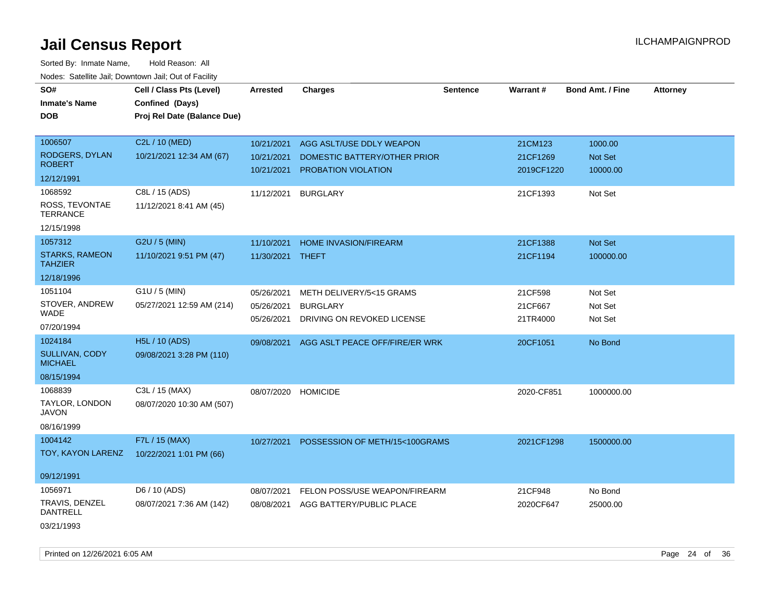| roucs. Calcillic Jali, Downtown Jali, Out of Facility |                                                                            |                          |                                                     |                 |                        |                         |                 |
|-------------------------------------------------------|----------------------------------------------------------------------------|--------------------------|-----------------------------------------------------|-----------------|------------------------|-------------------------|-----------------|
| SO#<br><b>Inmate's Name</b><br><b>DOB</b>             | Cell / Class Pts (Level)<br>Confined (Days)<br>Proj Rel Date (Balance Due) | <b>Arrested</b>          | <b>Charges</b>                                      | <b>Sentence</b> | Warrant#               | <b>Bond Amt. / Fine</b> | <b>Attorney</b> |
| 1006507                                               | C2L / 10 (MED)                                                             | 10/21/2021               | AGG ASLT/USE DDLY WEAPON                            |                 | 21CM123                | 1000.00                 |                 |
| RODGERS, DYLAN<br><b>ROBERT</b>                       | 10/21/2021 12:34 AM (67)                                                   | 10/21/2021<br>10/21/2021 | DOMESTIC BATTERY/OTHER PRIOR<br>PROBATION VIOLATION |                 | 21CF1269<br>2019CF1220 | Not Set<br>10000.00     |                 |
| 12/12/1991                                            |                                                                            |                          |                                                     |                 |                        |                         |                 |
| 1068592<br>ROSS, TEVONTAE<br><b>TERRANCE</b>          | C8L / 15 (ADS)<br>11/12/2021 8:41 AM (45)                                  | 11/12/2021               | <b>BURGLARY</b>                                     |                 | 21CF1393               | Not Set                 |                 |
| 12/15/1998                                            |                                                                            |                          |                                                     |                 |                        |                         |                 |
| 1057312                                               | G2U / 5 (MIN)                                                              | 11/10/2021               | <b>HOME INVASION/FIREARM</b>                        |                 | 21CF1388               | Not Set                 |                 |
| <b>STARKS, RAMEON</b><br><b>TAHZIER</b>               | 11/10/2021 9:51 PM (47)                                                    | 11/30/2021               | <b>THEFT</b>                                        |                 | 21CF1194               | 100000.00               |                 |
| 12/18/1996                                            |                                                                            |                          |                                                     |                 |                        |                         |                 |
| 1051104                                               | $G1U / 5$ (MIN)                                                            | 05/26/2021               | METH DELIVERY/5<15 GRAMS                            |                 | 21CF598                | Not Set                 |                 |
| STOVER, ANDREW<br>WADE                                | 05/27/2021 12:59 AM (214)                                                  | 05/26/2021<br>05/26/2021 | <b>BURGLARY</b><br>DRIVING ON REVOKED LICENSE       |                 | 21CF667<br>21TR4000    | Not Set<br>Not Set      |                 |
| 07/20/1994                                            |                                                                            |                          |                                                     |                 |                        |                         |                 |
| 1024184                                               | <b>H5L / 10 (ADS)</b>                                                      | 09/08/2021               | AGG ASLT PEACE OFF/FIRE/ER WRK                      |                 | 20CF1051               | No Bond                 |                 |
| SULLIVAN, CODY<br><b>MICHAEL</b>                      | 09/08/2021 3:28 PM (110)                                                   |                          |                                                     |                 |                        |                         |                 |
| 08/15/1994                                            |                                                                            |                          |                                                     |                 |                        |                         |                 |
| 1068839<br>TAYLOR, LONDON<br>JAVON                    | C3L / 15 (MAX)<br>08/07/2020 10:30 AM (507)                                | 08/07/2020               | <b>HOMICIDE</b>                                     |                 | 2020-CF851             | 1000000.00              |                 |
| 08/16/1999                                            |                                                                            |                          |                                                     |                 |                        |                         |                 |
| 1004142<br>TOY, KAYON LARENZ                          | F7L / 15 (MAX)<br>10/22/2021 1:01 PM (66)                                  | 10/27/2021               | POSSESSION OF METH/15<100GRAMS                      |                 | 2021CF1298             | 1500000.00              |                 |
| 09/12/1991                                            |                                                                            |                          |                                                     |                 |                        |                         |                 |
| 1056971                                               | D6 / 10 (ADS)                                                              | 08/07/2021               | FELON POSS/USE WEAPON/FIREARM                       |                 | 21CF948                | No Bond                 |                 |
| TRAVIS, DENZEL<br><b>DANTRELL</b>                     | 08/07/2021 7:36 AM (142)                                                   | 08/08/2021               | AGG BATTERY/PUBLIC PLACE                            |                 | 2020CF647              | 25000.00                |                 |
| 03/21/1993                                            |                                                                            |                          |                                                     |                 |                        |                         |                 |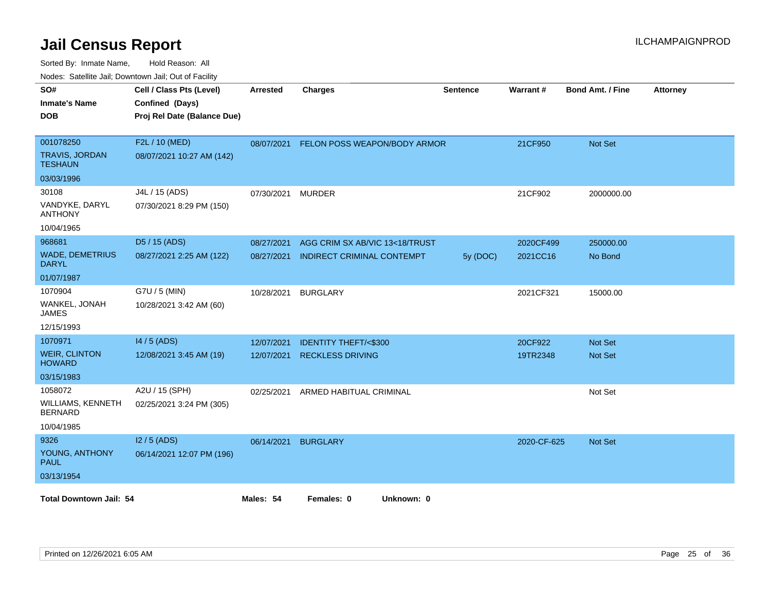| SO#<br><b>Inmate's Name</b><br><b>DOB</b>     | Cell / Class Pts (Level)<br>Confined (Days)<br>Proj Rel Date (Balance Due) | <b>Arrested</b> | <b>Charges</b>                    | <b>Sentence</b> | Warrant#    | <b>Bond Amt. / Fine</b> | <b>Attorney</b> |
|-----------------------------------------------|----------------------------------------------------------------------------|-----------------|-----------------------------------|-----------------|-------------|-------------------------|-----------------|
| 001078250<br><b>TRAVIS, JORDAN</b><br>TESHAUN | F2L / 10 (MED)<br>08/07/2021 10:27 AM (142)                                | 08/07/2021      | FELON POSS WEAPON/BODY ARMOR      |                 | 21CF950     | <b>Not Set</b>          |                 |
| 03/03/1996                                    |                                                                            |                 |                                   |                 |             |                         |                 |
| 30108                                         | J4L / 15 (ADS)                                                             | 07/30/2021      | <b>MURDER</b>                     |                 | 21CF902     | 2000000.00              |                 |
| VANDYKE, DARYL<br><b>ANTHONY</b>              | 07/30/2021 8:29 PM (150)                                                   |                 |                                   |                 |             |                         |                 |
| 10/04/1965                                    |                                                                            |                 |                                   |                 |             |                         |                 |
| 968681                                        | D5 / 15 (ADS)                                                              | 08/27/2021      | AGG CRIM SX AB/VIC 13<18/TRUST    |                 | 2020CF499   | 250000.00               |                 |
| <b>WADE, DEMETRIUS</b><br><b>DARYL</b>        | 08/27/2021 2:25 AM (122)                                                   | 08/27/2021      | <b>INDIRECT CRIMINAL CONTEMPT</b> | 5y (DOC)        | 2021CC16    | No Bond                 |                 |
| 01/07/1987                                    |                                                                            |                 |                                   |                 |             |                         |                 |
| 1070904                                       | G7U / 5 (MIN)                                                              | 10/28/2021      | <b>BURGLARY</b>                   |                 | 2021CF321   | 15000.00                |                 |
| WANKEL, JONAH<br>JAMES                        | 10/28/2021 3:42 AM (60)                                                    |                 |                                   |                 |             |                         |                 |
| 12/15/1993                                    |                                                                            |                 |                                   |                 |             |                         |                 |
| 1070971                                       | 14 / 5 (ADS)                                                               | 12/07/2021      | <b>IDENTITY THEFT/&lt;\$300</b>   |                 | 20CF922     | <b>Not Set</b>          |                 |
| <b>WEIR, CLINTON</b><br><b>HOWARD</b>         | 12/08/2021 3:45 AM (19)                                                    | 12/07/2021      | <b>RECKLESS DRIVING</b>           |                 | 19TR2348    | Not Set                 |                 |
| 03/15/1983                                    |                                                                            |                 |                                   |                 |             |                         |                 |
| 1058072                                       | A2U / 15 (SPH)                                                             | 02/25/2021      | ARMED HABITUAL CRIMINAL           |                 |             | Not Set                 |                 |
| WILLIAMS, KENNETH<br><b>BERNARD</b>           | 02/25/2021 3:24 PM (305)                                                   |                 |                                   |                 |             |                         |                 |
| 10/04/1985                                    |                                                                            |                 |                                   |                 |             |                         |                 |
| 9326                                          | $12/5$ (ADS)                                                               | 06/14/2021      | <b>BURGLARY</b>                   |                 | 2020-CF-625 | <b>Not Set</b>          |                 |
| YOUNG, ANTHONY<br><b>PAUL</b>                 | 06/14/2021 12:07 PM (196)                                                  |                 |                                   |                 |             |                         |                 |
| 03/13/1954                                    |                                                                            |                 |                                   |                 |             |                         |                 |
| <b>Total Downtown Jail: 54</b>                |                                                                            | Males: 54       | Females: 0<br>Unknown: 0          |                 |             |                         |                 |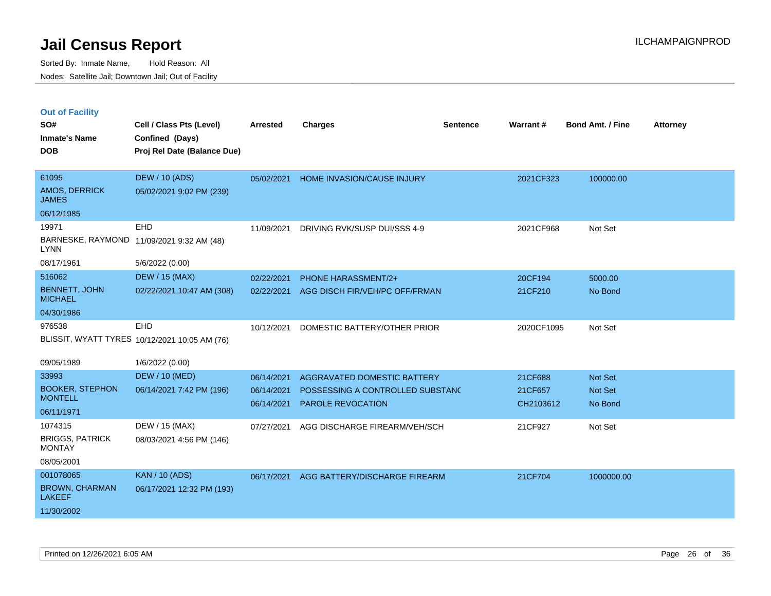|  | <b>Out of Facility</b> |  |
|--|------------------------|--|

| SO#<br><b>Inmate's Name</b>             | Cell / Class Pts (Level)<br>Confined (Days)   | <b>Arrested</b> | <b>Charges</b>                   | <b>Sentence</b> | <b>Warrant#</b> | <b>Bond Amt. / Fine</b> | <b>Attorney</b> |
|-----------------------------------------|-----------------------------------------------|-----------------|----------------------------------|-----------------|-----------------|-------------------------|-----------------|
| <b>DOB</b>                              | Proj Rel Date (Balance Due)                   |                 |                                  |                 |                 |                         |                 |
| 61095                                   | <b>DEW / 10 (ADS)</b>                         | 05/02/2021      | HOME INVASION/CAUSE INJURY       |                 | 2021CF323       | 100000.00               |                 |
| AMOS, DERRICK<br><b>JAMES</b>           | 05/02/2021 9:02 PM (239)                      |                 |                                  |                 |                 |                         |                 |
| 06/12/1985                              |                                               |                 |                                  |                 |                 |                         |                 |
| 19971                                   | EHD                                           | 11/09/2021      | DRIVING RVK/SUSP DUI/SSS 4-9     |                 | 2021CF968       | Not Set                 |                 |
| <b>LYNN</b>                             | BARNESKE, RAYMOND 11/09/2021 9:32 AM (48)     |                 |                                  |                 |                 |                         |                 |
| 08/17/1961                              | 5/6/2022 (0.00)                               |                 |                                  |                 |                 |                         |                 |
| 516062                                  | <b>DEW / 15 (MAX)</b>                         | 02/22/2021      | PHONE HARASSMENT/2+              |                 | 20CF194         | 5000.00                 |                 |
| <b>BENNETT, JOHN</b><br><b>MICHAEL</b>  | 02/22/2021 10:47 AM (308)                     | 02/22/2021      | AGG DISCH FIR/VEH/PC OFF/FRMAN   |                 | 21CF210         | No Bond                 |                 |
| 04/30/1986                              |                                               |                 |                                  |                 |                 |                         |                 |
| 976538                                  | EHD                                           | 10/12/2021      | DOMESTIC BATTERY/OTHER PRIOR     |                 | 2020CF1095      | Not Set                 |                 |
|                                         | BLISSIT, WYATT TYRES 10/12/2021 10:05 AM (76) |                 |                                  |                 |                 |                         |                 |
| 09/05/1989                              | 1/6/2022 (0.00)                               |                 |                                  |                 |                 |                         |                 |
| 33993                                   | <b>DEW / 10 (MED)</b>                         | 06/14/2021      | AGGRAVATED DOMESTIC BATTERY      |                 | 21CF688         | Not Set                 |                 |
| <b>BOOKER, STEPHON</b>                  | 06/14/2021 7:42 PM (196)                      | 06/14/2021      | POSSESSING A CONTROLLED SUBSTANC |                 | 21CF657         | Not Set                 |                 |
| <b>MONTELL</b>                          |                                               | 06/14/2021      | <b>PAROLE REVOCATION</b>         |                 | CH2103612       | No Bond                 |                 |
| 06/11/1971                              |                                               |                 |                                  |                 |                 |                         |                 |
| 1074315                                 | DEW / 15 (MAX)                                | 07/27/2021      | AGG DISCHARGE FIREARM/VEH/SCH    |                 | 21CF927         | Not Set                 |                 |
| <b>BRIGGS, PATRICK</b><br><b>MONTAY</b> | 08/03/2021 4:56 PM (146)                      |                 |                                  |                 |                 |                         |                 |
| 08/05/2001                              |                                               |                 |                                  |                 |                 |                         |                 |
| 001078065                               | <b>KAN / 10 (ADS)</b>                         | 06/17/2021      | AGG BATTERY/DISCHARGE FIREARM    |                 | 21CF704         | 1000000.00              |                 |
| <b>BROWN, CHARMAN</b><br><b>LAKEEF</b>  | 06/17/2021 12:32 PM (193)                     |                 |                                  |                 |                 |                         |                 |
| 11/30/2002                              |                                               |                 |                                  |                 |                 |                         |                 |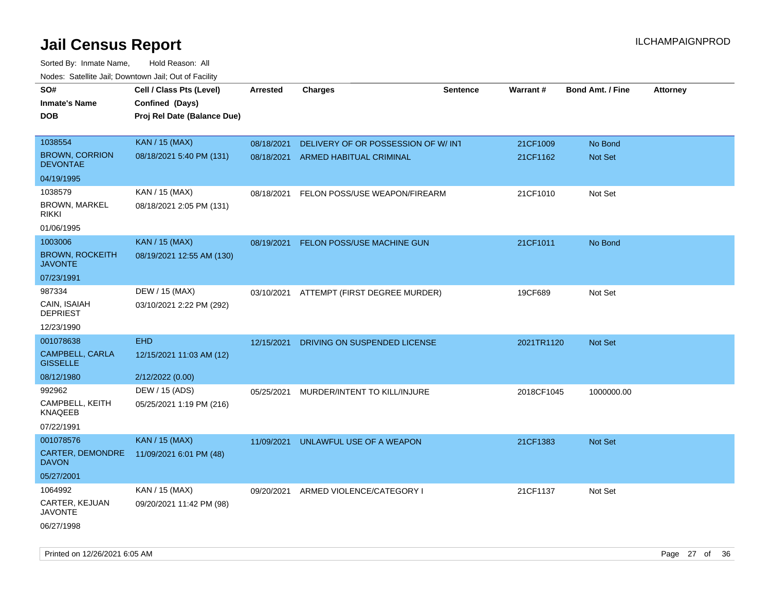| roaco. Catolino dall, Downtown dall, Out of Fability |                             |            |                                          |                 |            |                         |                 |
|------------------------------------------------------|-----------------------------|------------|------------------------------------------|-----------------|------------|-------------------------|-----------------|
| SO#                                                  | Cell / Class Pts (Level)    | Arrested   | <b>Charges</b>                           | <b>Sentence</b> | Warrant#   | <b>Bond Amt. / Fine</b> | <b>Attorney</b> |
| <b>Inmate's Name</b>                                 | Confined (Days)             |            |                                          |                 |            |                         |                 |
| <b>DOB</b>                                           | Proj Rel Date (Balance Due) |            |                                          |                 |            |                         |                 |
|                                                      |                             |            |                                          |                 |            |                         |                 |
| 1038554                                              | <b>KAN / 15 (MAX)</b>       | 08/18/2021 | DELIVERY OF OR POSSESSION OF W/INT       |                 | 21CF1009   | No Bond                 |                 |
| <b>BROWN, CORRION</b><br><b>DEVONTAE</b>             | 08/18/2021 5:40 PM (131)    | 08/18/2021 | ARMED HABITUAL CRIMINAL                  |                 | 21CF1162   | Not Set                 |                 |
| 04/19/1995                                           |                             |            |                                          |                 |            |                         |                 |
| 1038579                                              | KAN / 15 (MAX)              | 08/18/2021 | FELON POSS/USE WEAPON/FIREARM            |                 | 21CF1010   | Not Set                 |                 |
| <b>BROWN, MARKEL</b><br><b>RIKKI</b>                 | 08/18/2021 2:05 PM (131)    |            |                                          |                 |            |                         |                 |
| 01/06/1995                                           |                             |            |                                          |                 |            |                         |                 |
| 1003006                                              | <b>KAN / 15 (MAX)</b>       | 08/19/2021 | FELON POSS/USE MACHINE GUN               |                 | 21CF1011   | No Bond                 |                 |
| <b>BROWN, ROCKEITH</b><br><b>JAVONTE</b>             | 08/19/2021 12:55 AM (130)   |            |                                          |                 |            |                         |                 |
| 07/23/1991                                           |                             |            |                                          |                 |            |                         |                 |
| 987334                                               | DEW / 15 (MAX)              |            | 03/10/2021 ATTEMPT (FIRST DEGREE MURDER) |                 | 19CF689    | Not Set                 |                 |
| CAIN, ISAIAH<br><b>DEPRIEST</b>                      | 03/10/2021 2:22 PM (292)    |            |                                          |                 |            |                         |                 |
| 12/23/1990                                           |                             |            |                                          |                 |            |                         |                 |
| 001078638                                            | <b>EHD</b>                  | 12/15/2021 | DRIVING ON SUSPENDED LICENSE             |                 | 2021TR1120 | Not Set                 |                 |
| CAMPBELL, CARLA<br><b>GISSELLE</b>                   | 12/15/2021 11:03 AM (12)    |            |                                          |                 |            |                         |                 |
| 08/12/1980                                           | 2/12/2022 (0.00)            |            |                                          |                 |            |                         |                 |
| 992962                                               | DEW / 15 (ADS)              | 05/25/2021 | MURDER/INTENT TO KILL/INJURE             |                 | 2018CF1045 | 1000000.00              |                 |
| CAMPBELL, KEITH<br><b>KNAQEEB</b>                    | 05/25/2021 1:19 PM (216)    |            |                                          |                 |            |                         |                 |
| 07/22/1991                                           |                             |            |                                          |                 |            |                         |                 |
| 001078576                                            | <b>KAN / 15 (MAX)</b>       | 11/09/2021 | UNLAWFUL USE OF A WEAPON                 |                 | 21CF1383   | <b>Not Set</b>          |                 |
| CARTER, DEMONDRE<br><b>DAVON</b>                     | 11/09/2021 6:01 PM (48)     |            |                                          |                 |            |                         |                 |
| 05/27/2001                                           |                             |            |                                          |                 |            |                         |                 |
| 1064992                                              | KAN / 15 (MAX)              | 09/20/2021 | ARMED VIOLENCE/CATEGORY I                |                 | 21CF1137   | Not Set                 |                 |
| CARTER, KEJUAN<br><b>JAVONTE</b>                     | 09/20/2021 11:42 PM (98)    |            |                                          |                 |            |                         |                 |
| 06/27/1998                                           |                             |            |                                          |                 |            |                         |                 |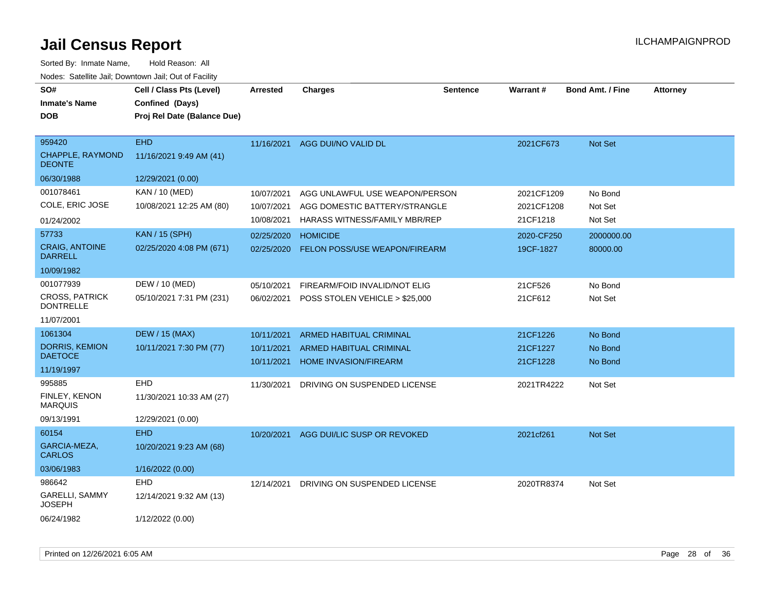| roaco. Catolino dall, Downtown dall, Out of Fability |                             |                 |                                           |                 |            |                         |                 |
|------------------------------------------------------|-----------------------------|-----------------|-------------------------------------------|-----------------|------------|-------------------------|-----------------|
| SO#                                                  | Cell / Class Pts (Level)    | <b>Arrested</b> | <b>Charges</b>                            | <b>Sentence</b> | Warrant#   | <b>Bond Amt. / Fine</b> | <b>Attorney</b> |
| <b>Inmate's Name</b>                                 | Confined (Days)             |                 |                                           |                 |            |                         |                 |
| <b>DOB</b>                                           | Proj Rel Date (Balance Due) |                 |                                           |                 |            |                         |                 |
|                                                      |                             |                 |                                           |                 |            |                         |                 |
| 959420                                               | <b>EHD</b>                  |                 | 11/16/2021 AGG DUI/NO VALID DL            |                 | 2021CF673  | Not Set                 |                 |
| <b>CHAPPLE, RAYMOND</b><br><b>DEONTE</b>             | 11/16/2021 9:49 AM (41)     |                 |                                           |                 |            |                         |                 |
| 06/30/1988                                           | 12/29/2021 (0.00)           |                 |                                           |                 |            |                         |                 |
| 001078461                                            | KAN / 10 (MED)              | 10/07/2021      | AGG UNLAWFUL USE WEAPON/PERSON            |                 | 2021CF1209 | No Bond                 |                 |
| COLE, ERIC JOSE                                      | 10/08/2021 12:25 AM (80)    | 10/07/2021      | AGG DOMESTIC BATTERY/STRANGLE             |                 | 2021CF1208 | Not Set                 |                 |
| 01/24/2002                                           |                             | 10/08/2021      | HARASS WITNESS/FAMILY MBR/REP             |                 | 21CF1218   | Not Set                 |                 |
| 57733                                                | <b>KAN / 15 (SPH)</b>       | 02/25/2020      | <b>HOMICIDE</b>                           |                 | 2020-CF250 | 2000000.00              |                 |
| <b>CRAIG, ANTOINE</b><br><b>DARRELL</b>              | 02/25/2020 4:08 PM (671)    | 02/25/2020      | FELON POSS/USE WEAPON/FIREARM             |                 | 19CF-1827  | 80000.00                |                 |
| 10/09/1982                                           |                             |                 |                                           |                 |            |                         |                 |
| 001077939                                            | DEW / 10 (MED)              | 05/10/2021      | FIREARM/FOID INVALID/NOT ELIG             |                 | 21CF526    | No Bond                 |                 |
| <b>CROSS, PATRICK</b><br><b>DONTRELLE</b>            | 05/10/2021 7:31 PM (231)    |                 | 06/02/2021 POSS STOLEN VEHICLE > \$25,000 |                 | 21CF612    | Not Set                 |                 |
| 11/07/2001                                           |                             |                 |                                           |                 |            |                         |                 |
| 1061304                                              | <b>DEW / 15 (MAX)</b>       | 10/11/2021      | <b>ARMED HABITUAL CRIMINAL</b>            |                 | 21CF1226   | No Bond                 |                 |
| <b>DORRIS, KEMION</b>                                | 10/11/2021 7:30 PM (77)     | 10/11/2021      | <b>ARMED HABITUAL CRIMINAL</b>            |                 | 21CF1227   | No Bond                 |                 |
| <b>DAETOCE</b>                                       |                             | 10/11/2021      | <b>HOME INVASION/FIREARM</b>              |                 | 21CF1228   | No Bond                 |                 |
| 11/19/1997                                           |                             |                 |                                           |                 |            |                         |                 |
| 995885                                               | EHD                         | 11/30/2021      | DRIVING ON SUSPENDED LICENSE              |                 | 2021TR4222 | Not Set                 |                 |
| FINLEY, KENON<br><b>MARQUIS</b>                      | 11/30/2021 10:33 AM (27)    |                 |                                           |                 |            |                         |                 |
| 09/13/1991                                           | 12/29/2021 (0.00)           |                 |                                           |                 |            |                         |                 |
| 60154                                                | <b>EHD</b>                  |                 | 10/20/2021 AGG DUI/LIC SUSP OR REVOKED    |                 | 2021cf261  | Not Set                 |                 |
| GARCIA-MEZA,<br><b>CARLOS</b>                        | 10/20/2021 9:23 AM (68)     |                 |                                           |                 |            |                         |                 |
| 03/06/1983                                           | 1/16/2022 (0.00)            |                 |                                           |                 |            |                         |                 |
| 986642                                               | EHD                         | 12/14/2021      | DRIVING ON SUSPENDED LICENSE              |                 | 2020TR8374 | Not Set                 |                 |
| GARELLI, SAMMY<br><b>JOSEPH</b>                      | 12/14/2021 9:32 AM (13)     |                 |                                           |                 |            |                         |                 |
| 06/24/1982                                           | 1/12/2022 (0.00)            |                 |                                           |                 |            |                         |                 |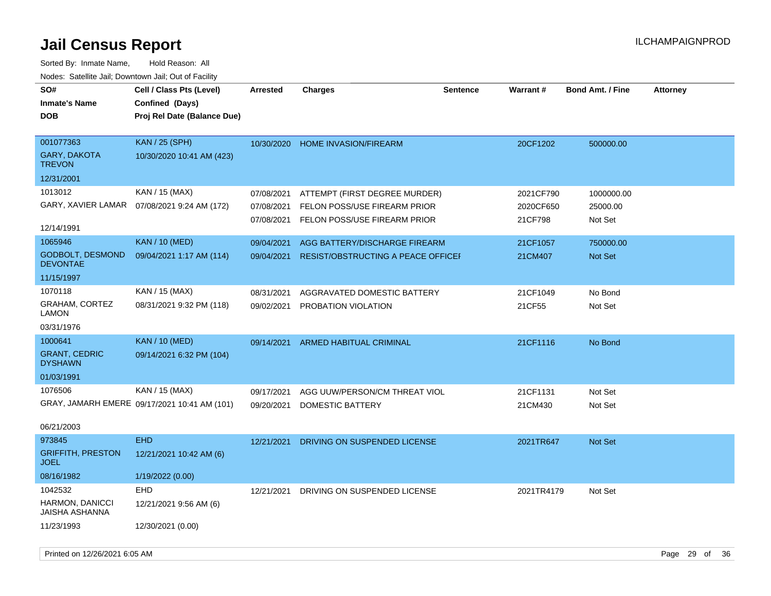| SO#<br><b>Inmate's Name</b><br><b>DOB</b>  | Cell / Class Pts (Level)<br>Confined (Days)<br>Proj Rel Date (Balance Due) | <b>Arrested</b> | <b>Charges</b>                            | <b>Sentence</b> | <b>Warrant#</b> | <b>Bond Amt. / Fine</b> | <b>Attorney</b> |
|--------------------------------------------|----------------------------------------------------------------------------|-----------------|-------------------------------------------|-----------------|-----------------|-------------------------|-----------------|
| 001077363<br>GARY, DAKOTA<br><b>TREVON</b> | <b>KAN / 25 (SPH)</b><br>10/30/2020 10:41 AM (423)                         |                 | 10/30/2020 HOME INVASION/FIREARM          |                 | 20CF1202        | 500000.00               |                 |
| 12/31/2001                                 |                                                                            |                 |                                           |                 |                 |                         |                 |
| 1013012                                    | KAN / 15 (MAX)                                                             | 07/08/2021      | ATTEMPT (FIRST DEGREE MURDER)             |                 | 2021CF790       | 1000000.00              |                 |
| GARY, XAVIER LAMAR                         | 07/08/2021 9:24 AM (172)                                                   | 07/08/2021      | FELON POSS/USE FIREARM PRIOR              |                 | 2020CF650       | 25000.00                |                 |
| 12/14/1991                                 |                                                                            | 07/08/2021      | FELON POSS/USE FIREARM PRIOR              |                 | 21CF798         | Not Set                 |                 |
| 1065946                                    | <b>KAN / 10 (MED)</b>                                                      | 09/04/2021      | AGG BATTERY/DISCHARGE FIREARM             |                 | 21CF1057        | 750000.00               |                 |
| GODBOLT, DESMOND<br><b>DEVONTAE</b>        | 09/04/2021 1:17 AM (114)                                                   | 09/04/2021      | <b>RESIST/OBSTRUCTING A PEACE OFFICEF</b> |                 | 21CM407         | Not Set                 |                 |
| 11/15/1997                                 |                                                                            |                 |                                           |                 |                 |                         |                 |
| 1070118                                    | KAN / 15 (MAX)                                                             | 08/31/2021      | AGGRAVATED DOMESTIC BATTERY               |                 | 21CF1049        | No Bond                 |                 |
| <b>GRAHAM, CORTEZ</b><br>LAMON             | 08/31/2021 9:32 PM (118)                                                   | 09/02/2021      | PROBATION VIOLATION                       |                 | 21CF55          | Not Set                 |                 |
| 03/31/1976                                 |                                                                            |                 |                                           |                 |                 |                         |                 |
| 1000641                                    | <b>KAN / 10 (MED)</b>                                                      | 09/14/2021      | ARMED HABITUAL CRIMINAL                   |                 | 21CF1116        | No Bond                 |                 |
| <b>GRANT, CEDRIC</b><br><b>DYSHAWN</b>     | 09/14/2021 6:32 PM (104)                                                   |                 |                                           |                 |                 |                         |                 |
| 01/03/1991                                 |                                                                            |                 |                                           |                 |                 |                         |                 |
| 1076506                                    | KAN / 15 (MAX)                                                             | 09/17/2021      | AGG UUW/PERSON/CM THREAT VIOL             |                 | 21CF1131        | Not Set                 |                 |
|                                            | GRAY, JAMARH EMERE 09/17/2021 10:41 AM (101)                               | 09/20/2021      | DOMESTIC BATTERY                          |                 | 21CM430         | Not Set                 |                 |
| 06/21/2003                                 |                                                                            |                 |                                           |                 |                 |                         |                 |
| 973845                                     | <b>EHD</b>                                                                 | 12/21/2021      | DRIVING ON SUSPENDED LICENSE              |                 | 2021TR647       | Not Set                 |                 |
| <b>GRIFFITH, PRESTON</b><br><b>JOEL</b>    | 12/21/2021 10:42 AM (6)                                                    |                 |                                           |                 |                 |                         |                 |
| 08/16/1982                                 | 1/19/2022 (0.00)                                                           |                 |                                           |                 |                 |                         |                 |
| 1042532                                    | EHD                                                                        | 12/21/2021      | DRIVING ON SUSPENDED LICENSE              |                 | 2021TR4179      | Not Set                 |                 |
| HARMON, DANICCI<br><b>JAISHA ASHANNA</b>   | 12/21/2021 9:56 AM (6)                                                     |                 |                                           |                 |                 |                         |                 |
| 11/23/1993                                 | 12/30/2021 (0.00)                                                          |                 |                                           |                 |                 |                         |                 |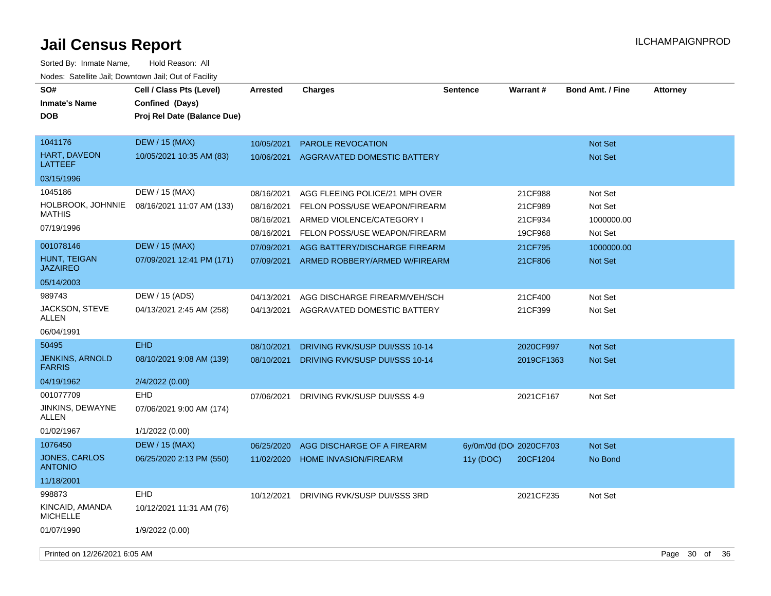| SO#<br><b>Inmate's Name</b><br><b>DOB</b> | Cell / Class Pts (Level)<br>Confined (Days)<br>Proj Rel Date (Balance Due) | <b>Arrested</b> | <b>Charges</b>                     | <b>Sentence</b>         | <b>Warrant#</b> | <b>Bond Amt. / Fine</b> | <b>Attorney</b> |
|-------------------------------------------|----------------------------------------------------------------------------|-----------------|------------------------------------|-------------------------|-----------------|-------------------------|-----------------|
| 1041176                                   | <b>DEW / 15 (MAX)</b>                                                      | 10/05/2021      | PAROLE REVOCATION                  |                         |                 | <b>Not Set</b>          |                 |
| HART, DAVEON<br><b>LATTEEF</b>            | 10/05/2021 10:35 AM (83)                                                   | 10/06/2021      | <b>AGGRAVATED DOMESTIC BATTERY</b> |                         |                 | Not Set                 |                 |
| 03/15/1996                                |                                                                            |                 |                                    |                         |                 |                         |                 |
| 1045186                                   | DEW / 15 (MAX)                                                             | 08/16/2021      | AGG FLEEING POLICE/21 MPH OVER     |                         | 21CF988         | Not Set                 |                 |
| HOLBROOK, JOHNNIE                         | 08/16/2021 11:07 AM (133)                                                  | 08/16/2021      | FELON POSS/USE WEAPON/FIREARM      |                         | 21CF989         | Not Set                 |                 |
| <b>MATHIS</b>                             |                                                                            | 08/16/2021      | ARMED VIOLENCE/CATEGORY I          |                         | 21CF934         | 1000000.00              |                 |
| 07/19/1996                                |                                                                            | 08/16/2021      | FELON POSS/USE WEAPON/FIREARM      |                         | 19CF968         | Not Set                 |                 |
| 001078146                                 | <b>DEW / 15 (MAX)</b>                                                      | 07/09/2021      | AGG BATTERY/DISCHARGE FIREARM      |                         | 21CF795         | 1000000.00              |                 |
| HUNT, TEIGAN<br><b>JAZAIREO</b>           | 07/09/2021 12:41 PM (171)                                                  | 07/09/2021      | ARMED ROBBERY/ARMED W/FIREARM      |                         | 21CF806         | Not Set                 |                 |
| 05/14/2003                                |                                                                            |                 |                                    |                         |                 |                         |                 |
| 989743                                    | DEW / 15 (ADS)                                                             | 04/13/2021      | AGG DISCHARGE FIREARM/VEH/SCH      |                         | 21CF400         | Not Set                 |                 |
| JACKSON, STEVE<br><b>ALLEN</b>            | 04/13/2021 2:45 AM (258)                                                   | 04/13/2021      | AGGRAVATED DOMESTIC BATTERY        |                         | 21CF399         | Not Set                 |                 |
| 06/04/1991                                |                                                                            |                 |                                    |                         |                 |                         |                 |
| 50495                                     | <b>EHD</b>                                                                 | 08/10/2021      | DRIVING RVK/SUSP DUI/SSS 10-14     |                         | 2020CF997       | <b>Not Set</b>          |                 |
| <b>JENKINS, ARNOLD</b><br><b>FARRIS</b>   | 08/10/2021 9:08 AM (139)                                                   | 08/10/2021      | DRIVING RVK/SUSP DUI/SSS 10-14     |                         | 2019CF1363      | <b>Not Set</b>          |                 |
| 04/19/1962                                | 2/4/2022 (0.00)                                                            |                 |                                    |                         |                 |                         |                 |
| 001077709                                 | <b>EHD</b>                                                                 | 07/06/2021      | DRIVING RVK/SUSP DUI/SSS 4-9       |                         | 2021CF167       | Not Set                 |                 |
| JINKINS, DEWAYNE<br>ALLEN                 | 07/06/2021 9:00 AM (174)                                                   |                 |                                    |                         |                 |                         |                 |
| 01/02/1967                                | 1/1/2022 (0.00)                                                            |                 |                                    |                         |                 |                         |                 |
| 1076450                                   | <b>DEW</b> / 15 (MAX)                                                      | 06/25/2020      | AGG DISCHARGE OF A FIREARM         | 6y/0m/0d (DOI 2020CF703 |                 | Not Set                 |                 |
| <b>JONES, CARLOS</b><br><b>ANTONIO</b>    | 06/25/2020 2:13 PM (550)                                                   | 11/02/2020      | <b>HOME INVASION/FIREARM</b>       | 11y (DOC)               | 20CF1204        | No Bond                 |                 |
| 11/18/2001                                |                                                                            |                 |                                    |                         |                 |                         |                 |
| 998873                                    | <b>EHD</b>                                                                 | 10/12/2021      | DRIVING RVK/SUSP DUI/SSS 3RD       |                         | 2021CF235       | Not Set                 |                 |
| KINCAID, AMANDA<br><b>MICHELLE</b>        | 10/12/2021 11:31 AM (76)                                                   |                 |                                    |                         |                 |                         |                 |
| 01/07/1990                                | 1/9/2022 (0.00)                                                            |                 |                                    |                         |                 |                         |                 |
| Printed on 12/26/2021 6:05 AM             |                                                                            |                 |                                    |                         |                 |                         | Page 30 of 36   |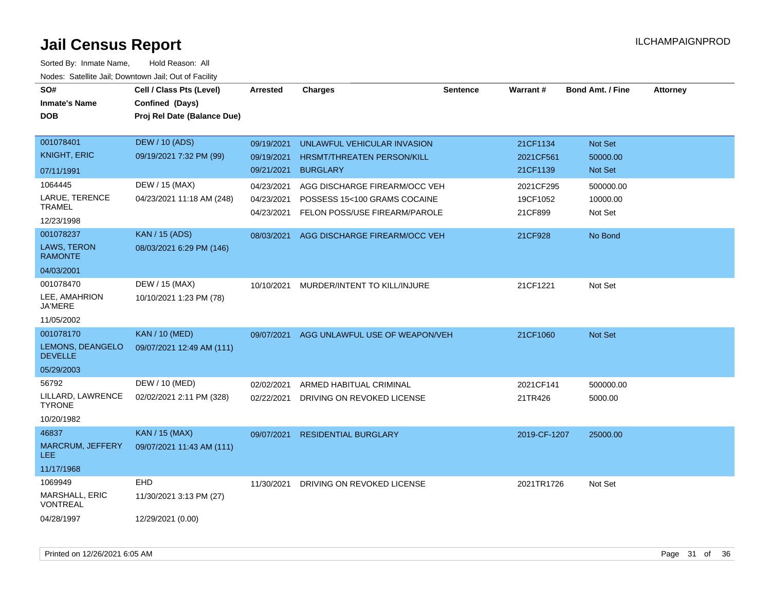| SO#                                | Cell / Class Pts (Level)    | <b>Arrested</b>          | <b>Charges</b>                                                | <b>Sentence</b> | Warrant#            | <b>Bond Amt. / Fine</b> | <b>Attorney</b> |
|------------------------------------|-----------------------------|--------------------------|---------------------------------------------------------------|-----------------|---------------------|-------------------------|-----------------|
| <b>Inmate's Name</b>               | Confined (Days)             |                          |                                                               |                 |                     |                         |                 |
| <b>DOB</b>                         | Proj Rel Date (Balance Due) |                          |                                                               |                 |                     |                         |                 |
|                                    |                             |                          |                                                               |                 |                     |                         |                 |
| 001078401                          | <b>DEW / 10 (ADS)</b>       | 09/19/2021               | UNLAWFUL VEHICULAR INVASION                                   |                 | 21CF1134            | Not Set                 |                 |
| <b>KNIGHT, ERIC</b>                | 09/19/2021 7:32 PM (99)     | 09/19/2021               | HRSMT/THREATEN PERSON/KILL                                    |                 | 2021CF561           | 50000.00                |                 |
| 07/11/1991                         |                             | 09/21/2021               | <b>BURGLARY</b>                                               |                 | 21CF1139            | <b>Not Set</b>          |                 |
| 1064445                            | DEW / 15 (MAX)              | 04/23/2021               | AGG DISCHARGE FIREARM/OCC VEH                                 |                 | 2021CF295           | 500000.00               |                 |
| LARUE, TERENCE<br><b>TRAMEL</b>    | 04/23/2021 11:18 AM (248)   | 04/23/2021<br>04/23/2021 | POSSESS 15<100 GRAMS COCAINE<br>FELON POSS/USE FIREARM/PAROLE |                 | 19CF1052<br>21CF899 | 10000.00<br>Not Set     |                 |
| 12/23/1998                         |                             |                          |                                                               |                 |                     |                         |                 |
| 001078237                          | <b>KAN / 15 (ADS)</b>       | 08/03/2021               | AGG DISCHARGE FIREARM/OCC VEH                                 |                 | 21CF928             | No Bond                 |                 |
| LAWS, TERON<br><b>RAMONTE</b>      | 08/03/2021 6:29 PM (146)    |                          |                                                               |                 |                     |                         |                 |
| 04/03/2001                         |                             |                          |                                                               |                 |                     |                         |                 |
| 001078470                          | DEW / 15 (MAX)              | 10/10/2021               | MURDER/INTENT TO KILL/INJURE                                  |                 | 21CF1221            | Not Set                 |                 |
| LEE, AMAHRION<br>JA'MERE           | 10/10/2021 1:23 PM (78)     |                          |                                                               |                 |                     |                         |                 |
| 11/05/2002                         |                             |                          |                                                               |                 |                     |                         |                 |
| 001078170                          | <b>KAN / 10 (MED)</b>       | 09/07/2021               | AGG UNLAWFUL USE OF WEAPON/VEH                                |                 | 21CF1060            | <b>Not Set</b>          |                 |
| LEMONS, DEANGELO<br><b>DEVELLE</b> | 09/07/2021 12:49 AM (111)   |                          |                                                               |                 |                     |                         |                 |
| 05/29/2003                         |                             |                          |                                                               |                 |                     |                         |                 |
| 56792                              | DEW / 10 (MED)              | 02/02/2021               | ARMED HABITUAL CRIMINAL                                       |                 | 2021CF141           | 500000.00               |                 |
| LILLARD, LAWRENCE<br><b>TYRONE</b> | 02/02/2021 2:11 PM (328)    | 02/22/2021               | DRIVING ON REVOKED LICENSE                                    |                 | 21TR426             | 5000.00                 |                 |
| 10/20/1982                         |                             |                          |                                                               |                 |                     |                         |                 |
| 46837                              | <b>KAN / 15 (MAX)</b>       | 09/07/2021               | <b>RESIDENTIAL BURGLARY</b>                                   |                 | 2019-CF-1207        | 25000.00                |                 |
| MARCRUM, JEFFERY<br>LEE.           | 09/07/2021 11:43 AM (111)   |                          |                                                               |                 |                     |                         |                 |
| 11/17/1968                         |                             |                          |                                                               |                 |                     |                         |                 |
| 1069949                            | <b>EHD</b>                  | 11/30/2021               | DRIVING ON REVOKED LICENSE                                    |                 | 2021TR1726          | Not Set                 |                 |
| MARSHALL, ERIC<br><b>VONTREAL</b>  | 11/30/2021 3:13 PM (27)     |                          |                                                               |                 |                     |                         |                 |
| 04/28/1997                         | 12/29/2021 (0.00)           |                          |                                                               |                 |                     |                         |                 |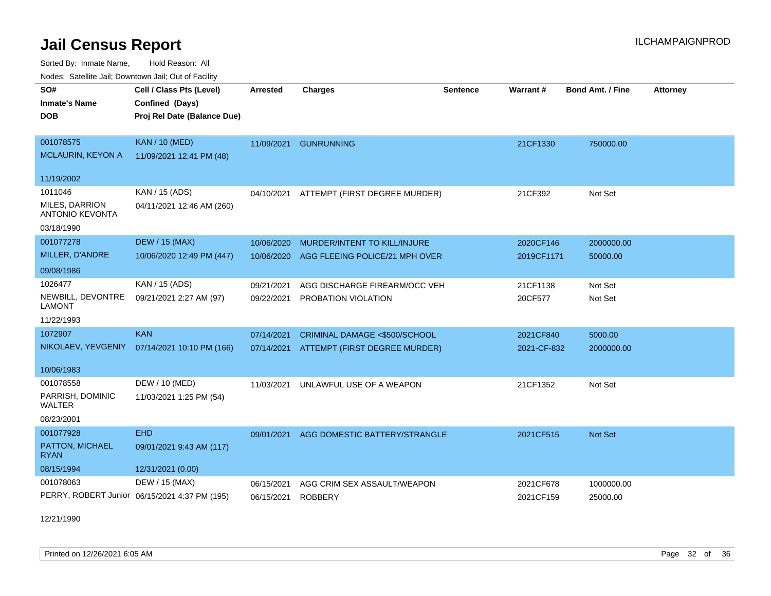Sorted By: Inmate Name, Hold Reason: All Nodes: Satellite Jail; Downtown Jail; Out of Facility

| roucs. Oatchite sail, Downtown sail, Out or Facility |                                               |                 |                                          |                 |             |                  |                 |
|------------------------------------------------------|-----------------------------------------------|-----------------|------------------------------------------|-----------------|-------------|------------------|-----------------|
| SO#                                                  | Cell / Class Pts (Level)                      | <b>Arrested</b> | <b>Charges</b>                           | <b>Sentence</b> | Warrant#    | Bond Amt. / Fine | <b>Attorney</b> |
| <b>Inmate's Name</b>                                 | Confined (Days)                               |                 |                                          |                 |             |                  |                 |
| <b>DOB</b>                                           | Proj Rel Date (Balance Due)                   |                 |                                          |                 |             |                  |                 |
|                                                      |                                               |                 |                                          |                 |             |                  |                 |
| 001078575                                            | <b>KAN / 10 (MED)</b>                         | 11/09/2021      | <b>GUNRUNNING</b>                        |                 | 21CF1330    | 750000.00        |                 |
| <b>MCLAURIN, KEYON A</b>                             | 11/09/2021 12:41 PM (48)                      |                 |                                          |                 |             |                  |                 |
| 11/19/2002                                           |                                               |                 |                                          |                 |             |                  |                 |
| 1011046                                              | KAN / 15 (ADS)                                |                 | 04/10/2021 ATTEMPT (FIRST DEGREE MURDER) |                 | 21CF392     | Not Set          |                 |
| <b>MILES, DARRION</b><br><b>ANTONIO KEVONTA</b>      | 04/11/2021 12:46 AM (260)                     |                 |                                          |                 |             |                  |                 |
| 03/18/1990                                           |                                               |                 |                                          |                 |             |                  |                 |
| 001077278                                            | <b>DEW / 15 (MAX)</b>                         | 10/06/2020      | MURDER/INTENT TO KILL/INJURE             |                 | 2020CF146   | 2000000.00       |                 |
| MILLER, D'ANDRE                                      | 10/06/2020 12:49 PM (447)                     | 10/06/2020      | AGG FLEEING POLICE/21 MPH OVER           |                 | 2019CF1171  | 50000.00         |                 |
| 09/08/1986                                           |                                               |                 |                                          |                 |             |                  |                 |
| 1026477                                              | KAN / 15 (ADS)                                | 09/21/2021      | AGG DISCHARGE FIREARM/OCC VEH            |                 | 21CF1138    | Not Set          |                 |
| NEWBILL, DEVONTRE<br><b>LAMONT</b>                   | 09/21/2021 2:27 AM (97)                       | 09/22/2021      | PROBATION VIOLATION                      |                 | 20CF577     | Not Set          |                 |
| 11/22/1993                                           |                                               |                 |                                          |                 |             |                  |                 |
| 1072907                                              | <b>KAN</b>                                    | 07/14/2021      | CRIMINAL DAMAGE <\$500/SCHOOL            |                 | 2021CF840   | 5000.00          |                 |
| NIKOLAEV, YEVGENIY                                   | 07/14/2021 10:10 PM (166)                     | 07/14/2021      | ATTEMPT (FIRST DEGREE MURDER)            |                 | 2021-CF-832 | 2000000.00       |                 |
| 10/06/1983                                           |                                               |                 |                                          |                 |             |                  |                 |
| 001078558                                            | DEW / 10 (MED)                                | 11/03/2021      | UNLAWFUL USE OF A WEAPON                 |                 | 21CF1352    | Not Set          |                 |
| PARRISH, DOMINIC<br>WALTER                           | 11/03/2021 1:25 PM (54)                       |                 |                                          |                 |             |                  |                 |
| 08/23/2001                                           |                                               |                 |                                          |                 |             |                  |                 |
| 001077928                                            | <b>EHD</b>                                    | 09/01/2021      | AGG DOMESTIC BATTERY/STRANGLE            |                 | 2021CF515   | <b>Not Set</b>   |                 |
| PATTON, MICHAEL<br><b>RYAN</b>                       | 09/01/2021 9:43 AM (117)                      |                 |                                          |                 |             |                  |                 |
| 08/15/1994                                           | 12/31/2021 (0.00)                             |                 |                                          |                 |             |                  |                 |
| 001078063                                            | DEW / 15 (MAX)                                | 06/15/2021      | AGG CRIM SEX ASSAULT/WEAPON              |                 | 2021CF678   | 1000000.00       |                 |
|                                                      | PERRY, ROBERT Junior 06/15/2021 4:37 PM (195) | 06/15/2021      | <b>ROBBERY</b>                           |                 | 2021CF159   | 25000.00         |                 |

12/21/1990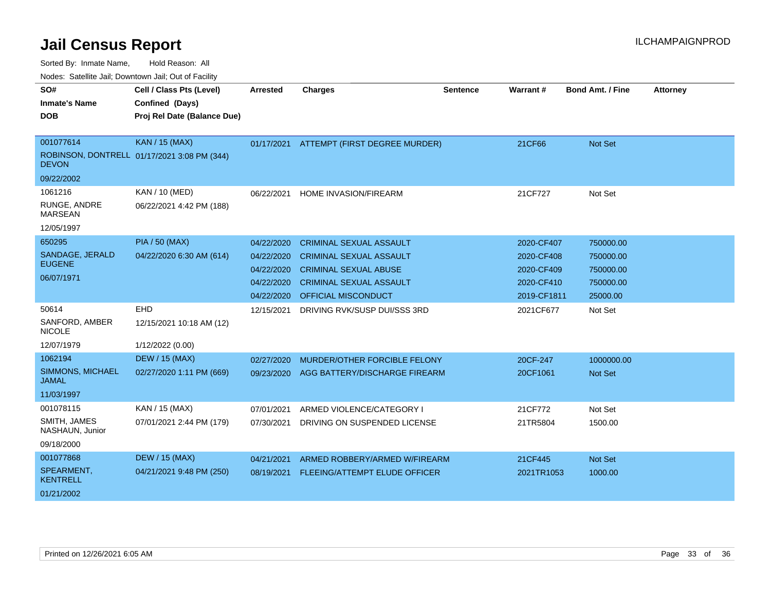| SO#                                     | Cell / Class Pts (Level)                    | <b>Arrested</b> | <b>Charges</b>                           | <b>Sentence</b> | Warrant#    | <b>Bond Amt. / Fine</b> | <b>Attorney</b> |
|-----------------------------------------|---------------------------------------------|-----------------|------------------------------------------|-----------------|-------------|-------------------------|-----------------|
| <b>Inmate's Name</b>                    | Confined (Days)                             |                 |                                          |                 |             |                         |                 |
| <b>DOB</b>                              | Proj Rel Date (Balance Due)                 |                 |                                          |                 |             |                         |                 |
|                                         |                                             |                 |                                          |                 |             |                         |                 |
| 001077614                               | <b>KAN / 15 (MAX)</b>                       |                 | 01/17/2021 ATTEMPT (FIRST DEGREE MURDER) |                 | 21CF66      | <b>Not Set</b>          |                 |
| <b>DEVON</b>                            | ROBINSON, DONTRELL 01/17/2021 3:08 PM (344) |                 |                                          |                 |             |                         |                 |
| 09/22/2002                              |                                             |                 |                                          |                 |             |                         |                 |
| 1061216                                 | KAN / 10 (MED)                              | 06/22/2021      | HOME INVASION/FIREARM                    |                 | 21CF727     | Not Set                 |                 |
| RUNGE, ANDRE<br><b>MARSEAN</b>          | 06/22/2021 4:42 PM (188)                    |                 |                                          |                 |             |                         |                 |
| 12/05/1997                              |                                             |                 |                                          |                 |             |                         |                 |
| 650295                                  | <b>PIA / 50 (MAX)</b>                       | 04/22/2020      | <b>CRIMINAL SEXUAL ASSAULT</b>           |                 | 2020-CF407  | 750000.00               |                 |
| SANDAGE, JERALD                         | 04/22/2020 6:30 AM (614)                    | 04/22/2020      | <b>CRIMINAL SEXUAL ASSAULT</b>           |                 | 2020-CF408  | 750000.00               |                 |
| <b>EUGENE</b>                           |                                             | 04/22/2020      | <b>CRIMINAL SEXUAL ABUSE</b>             |                 | 2020-CF409  | 750000.00               |                 |
| 06/07/1971                              |                                             | 04/22/2020      | <b>CRIMINAL SEXUAL ASSAULT</b>           |                 | 2020-CF410  | 750000.00               |                 |
|                                         |                                             | 04/22/2020      | <b>OFFICIAL MISCONDUCT</b>               |                 | 2019-CF1811 | 25000.00                |                 |
| 50614                                   | EHD                                         | 12/15/2021      | DRIVING RVK/SUSP DUI/SSS 3RD             |                 | 2021CF677   | Not Set                 |                 |
| SANFORD, AMBER<br><b>NICOLE</b>         | 12/15/2021 10:18 AM (12)                    |                 |                                          |                 |             |                         |                 |
| 12/07/1979                              | 1/12/2022 (0.00)                            |                 |                                          |                 |             |                         |                 |
| 1062194                                 | <b>DEW / 15 (MAX)</b>                       | 02/27/2020      | MURDER/OTHER FORCIBLE FELONY             |                 | 20CF-247    | 1000000.00              |                 |
| <b>SIMMONS, MICHAEL</b><br><b>JAMAL</b> | 02/27/2020 1:11 PM (669)                    | 09/23/2020      | AGG BATTERY/DISCHARGE FIREARM            |                 | 20CF1061    | <b>Not Set</b>          |                 |
| 11/03/1997                              |                                             |                 |                                          |                 |             |                         |                 |
| 001078115                               | KAN / 15 (MAX)                              | 07/01/2021      | ARMED VIOLENCE/CATEGORY I                |                 | 21CF772     | Not Set                 |                 |
| SMITH, JAMES<br>NASHAUN, Junior         | 07/01/2021 2:44 PM (179)                    | 07/30/2021      | DRIVING ON SUSPENDED LICENSE             |                 | 21TR5804    | 1500.00                 |                 |
| 09/18/2000                              |                                             |                 |                                          |                 |             |                         |                 |
| 001077868                               | <b>DEW / 15 (MAX)</b>                       | 04/21/2021      | ARMED ROBBERY/ARMED W/FIREARM            |                 | 21CF445     | <b>Not Set</b>          |                 |
| SPEARMENT,<br><b>KENTRELL</b>           | 04/21/2021 9:48 PM (250)                    | 08/19/2021      | FLEEING/ATTEMPT ELUDE OFFICER            |                 | 2021TR1053  | 1000.00                 |                 |
| 01/21/2002                              |                                             |                 |                                          |                 |             |                         |                 |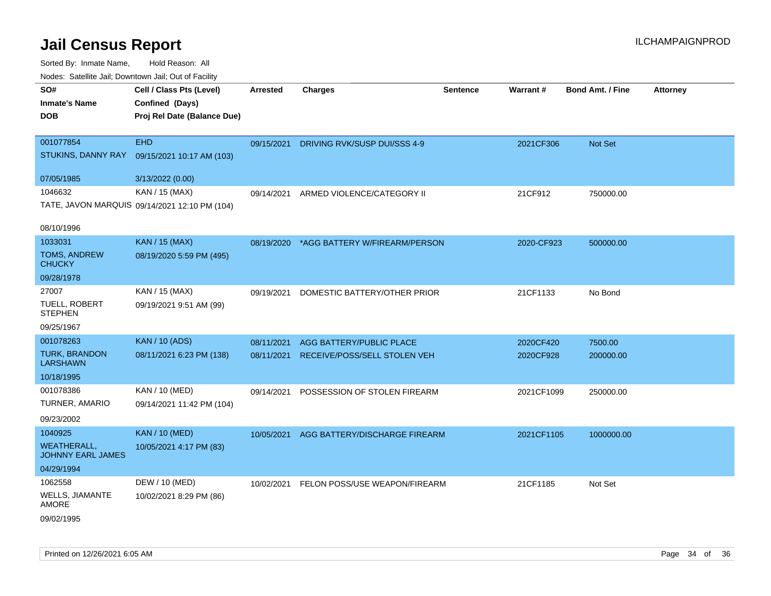| rouce. Calcinic Jan, Downtown Jan, Out or Facility |                                                                            |            |                                          |                 |                 |                         |                 |
|----------------------------------------------------|----------------------------------------------------------------------------|------------|------------------------------------------|-----------------|-----------------|-------------------------|-----------------|
| SO#<br><b>Inmate's Name</b><br><b>DOB</b>          | Cell / Class Pts (Level)<br>Confined (Days)<br>Proj Rel Date (Balance Due) | Arrested   | <b>Charges</b>                           | <b>Sentence</b> | <b>Warrant#</b> | <b>Bond Amt. / Fine</b> | <b>Attorney</b> |
|                                                    |                                                                            |            |                                          |                 |                 |                         |                 |
| 001077854                                          | <b>EHD</b>                                                                 | 09/15/2021 | DRIVING RVK/SUSP DUI/SSS 4-9             |                 | 2021CF306       | Not Set                 |                 |
| STUKINS, DANNY RAY                                 | 09/15/2021 10:17 AM (103)                                                  |            |                                          |                 |                 |                         |                 |
| 07/05/1985                                         | 3/13/2022 (0.00)                                                           |            |                                          |                 |                 |                         |                 |
| 1046632                                            | KAN / 15 (MAX)                                                             | 09/14/2021 | ARMED VIOLENCE/CATEGORY II               |                 | 21CF912         | 750000.00               |                 |
|                                                    | TATE, JAVON MARQUIS 09/14/2021 12:10 PM (104)                              |            |                                          |                 |                 |                         |                 |
|                                                    |                                                                            |            |                                          |                 |                 |                         |                 |
| 08/10/1996                                         |                                                                            |            |                                          |                 |                 |                         |                 |
| 1033031                                            | <b>KAN / 15 (MAX)</b>                                                      |            | 08/19/2020 *AGG BATTERY W/FIREARM/PERSON |                 | 2020-CF923      | 500000.00               |                 |
| <b>TOMS, ANDREW</b><br><b>CHUCKY</b>               | 08/19/2020 5:59 PM (495)                                                   |            |                                          |                 |                 |                         |                 |
| 09/28/1978                                         |                                                                            |            |                                          |                 |                 |                         |                 |
| 27007                                              | KAN / 15 (MAX)                                                             | 09/19/2021 | DOMESTIC BATTERY/OTHER PRIOR             |                 | 21CF1133        | No Bond                 |                 |
| TUELL, ROBERT<br><b>STEPHEN</b>                    | 09/19/2021 9:51 AM (99)                                                    |            |                                          |                 |                 |                         |                 |
| 09/25/1967                                         |                                                                            |            |                                          |                 |                 |                         |                 |
| 001078263                                          | <b>KAN / 10 (ADS)</b>                                                      | 08/11/2021 | <b>AGG BATTERY/PUBLIC PLACE</b>          |                 | 2020CF420       | 7500.00                 |                 |
| TURK, BRANDON<br><b>LARSHAWN</b>                   | 08/11/2021 6:23 PM (138)                                                   | 08/11/2021 | RECEIVE/POSS/SELL STOLEN VEH             |                 | 2020CF928       | 200000.00               |                 |
| 10/18/1995                                         |                                                                            |            |                                          |                 |                 |                         |                 |
| 001078386                                          | KAN / 10 (MED)                                                             | 09/14/2021 | POSSESSION OF STOLEN FIREARM             |                 | 2021CF1099      | 250000.00               |                 |
| <b>TURNER, AMARIO</b>                              | 09/14/2021 11:42 PM (104)                                                  |            |                                          |                 |                 |                         |                 |
| 09/23/2002                                         |                                                                            |            |                                          |                 |                 |                         |                 |
| 1040925                                            | <b>KAN / 10 (MED)</b>                                                      | 10/05/2021 | AGG BATTERY/DISCHARGE FIREARM            |                 | 2021CF1105      | 1000000.00              |                 |
| <b>WEATHERALL,</b><br><b>JOHNNY EARL JAMES</b>     | 10/05/2021 4:17 PM (83)                                                    |            |                                          |                 |                 |                         |                 |
| 04/29/1994                                         |                                                                            |            |                                          |                 |                 |                         |                 |
| 1062558                                            | DEW / 10 (MED)                                                             |            | 10/02/2021 FELON POSS/USE WEAPON/FIREARM |                 | 21CF1185        | Not Set                 |                 |
| WELLS, JIAMANTE<br>AMORE                           | 10/02/2021 8:29 PM (86)                                                    |            |                                          |                 |                 |                         |                 |
| 09/02/1995                                         |                                                                            |            |                                          |                 |                 |                         |                 |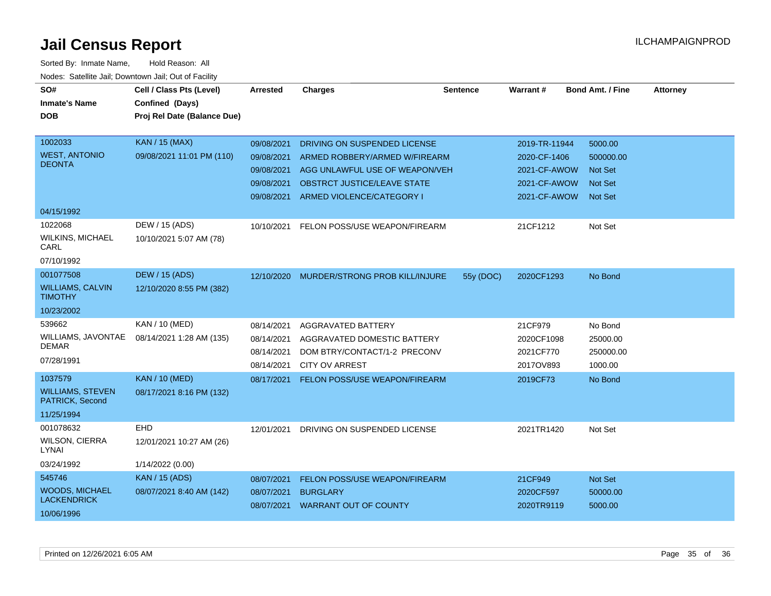| SO#<br><b>Inmate's Name</b>                | Cell / Class Pts (Level)<br>Confined (Days) | <b>Arrested</b> | <b>Charges</b>                     | <b>Sentence</b> | Warrant#      | <b>Bond Amt. / Fine</b> | <b>Attorney</b> |
|--------------------------------------------|---------------------------------------------|-----------------|------------------------------------|-----------------|---------------|-------------------------|-----------------|
| <b>DOB</b>                                 | Proj Rel Date (Balance Due)                 |                 |                                    |                 |               |                         |                 |
|                                            |                                             |                 |                                    |                 |               |                         |                 |
| 1002033                                    | <b>KAN / 15 (MAX)</b>                       | 09/08/2021      | DRIVING ON SUSPENDED LICENSE       |                 | 2019-TR-11944 | 5000.00                 |                 |
| <b>WEST, ANTONIO</b>                       | 09/08/2021 11:01 PM (110)                   | 09/08/2021      | ARMED ROBBERY/ARMED W/FIREARM      |                 | 2020-CF-1406  | 500000.00               |                 |
| <b>DEONTA</b>                              |                                             | 09/08/2021      | AGG UNLAWFUL USE OF WEAPON/VEH     |                 | 2021-CF-AWOW  | <b>Not Set</b>          |                 |
|                                            |                                             | 09/08/2021      | <b>OBSTRCT JUSTICE/LEAVE STATE</b> |                 | 2021-CF-AWOW  | <b>Not Set</b>          |                 |
|                                            |                                             | 09/08/2021      | ARMED VIOLENCE/CATEGORY I          |                 | 2021-CF-AWOW  | <b>Not Set</b>          |                 |
| 04/15/1992                                 |                                             |                 |                                    |                 |               |                         |                 |
| 1022068                                    | DEW / 15 (ADS)                              | 10/10/2021      | FELON POSS/USE WEAPON/FIREARM      |                 | 21CF1212      | Not Set                 |                 |
| <b>WILKINS, MICHAEL</b><br>CARL            | 10/10/2021 5:07 AM (78)                     |                 |                                    |                 |               |                         |                 |
| 07/10/1992                                 |                                             |                 |                                    |                 |               |                         |                 |
| 001077508                                  | <b>DEW / 15 (ADS)</b>                       | 12/10/2020      | MURDER/STRONG PROB KILL/INJURE     | 55y (DOC)       | 2020CF1293    | No Bond                 |                 |
| <b>WILLIAMS, CALVIN</b><br><b>TIMOTHY</b>  | 12/10/2020 8:55 PM (382)                    |                 |                                    |                 |               |                         |                 |
| 10/23/2002                                 |                                             |                 |                                    |                 |               |                         |                 |
| 539662                                     | KAN / 10 (MED)                              | 08/14/2021      | AGGRAVATED BATTERY                 |                 | 21CF979       | No Bond                 |                 |
| WILLIAMS, JAVONTAE                         | 08/14/2021 1:28 AM (135)                    | 08/14/2021      | AGGRAVATED DOMESTIC BATTERY        |                 | 2020CF1098    | 25000.00                |                 |
| <b>DEMAR</b>                               |                                             | 08/14/2021      | DOM BTRY/CONTACT/1-2 PRECONV       |                 | 2021CF770     | 250000.00               |                 |
| 07/28/1991                                 |                                             | 08/14/2021      | <b>CITY OV ARREST</b>              |                 | 2017OV893     | 1000.00                 |                 |
| 1037579                                    | <b>KAN / 10 (MED)</b>                       | 08/17/2021      | FELON POSS/USE WEAPON/FIREARM      |                 | 2019CF73      | No Bond                 |                 |
| <b>WILLIAMS, STEVEN</b><br>PATRICK, Second | 08/17/2021 8:16 PM (132)                    |                 |                                    |                 |               |                         |                 |
| 11/25/1994                                 |                                             |                 |                                    |                 |               |                         |                 |
| 001078632                                  | <b>EHD</b>                                  | 12/01/2021      | DRIVING ON SUSPENDED LICENSE       |                 | 2021TR1420    | Not Set                 |                 |
| <b>WILSON, CIERRA</b><br>LYNAI             | 12/01/2021 10:27 AM (26)                    |                 |                                    |                 |               |                         |                 |
| 03/24/1992                                 | 1/14/2022 (0.00)                            |                 |                                    |                 |               |                         |                 |
| 545746                                     | <b>KAN</b> / 15 (ADS)                       | 08/07/2021      | FELON POSS/USE WEAPON/FIREARM      |                 | 21CF949       | Not Set                 |                 |
| <b>WOODS, MICHAEL</b>                      | 08/07/2021 8:40 AM (142)                    | 08/07/2021      | <b>BURGLARY</b>                    |                 | 2020CF597     | 50000.00                |                 |
| <b>LACKENDRICK</b>                         |                                             |                 | 08/07/2021 WARRANT OUT OF COUNTY   |                 | 2020TR9119    | 5000.00                 |                 |
| 10/06/1996                                 |                                             |                 |                                    |                 |               |                         |                 |